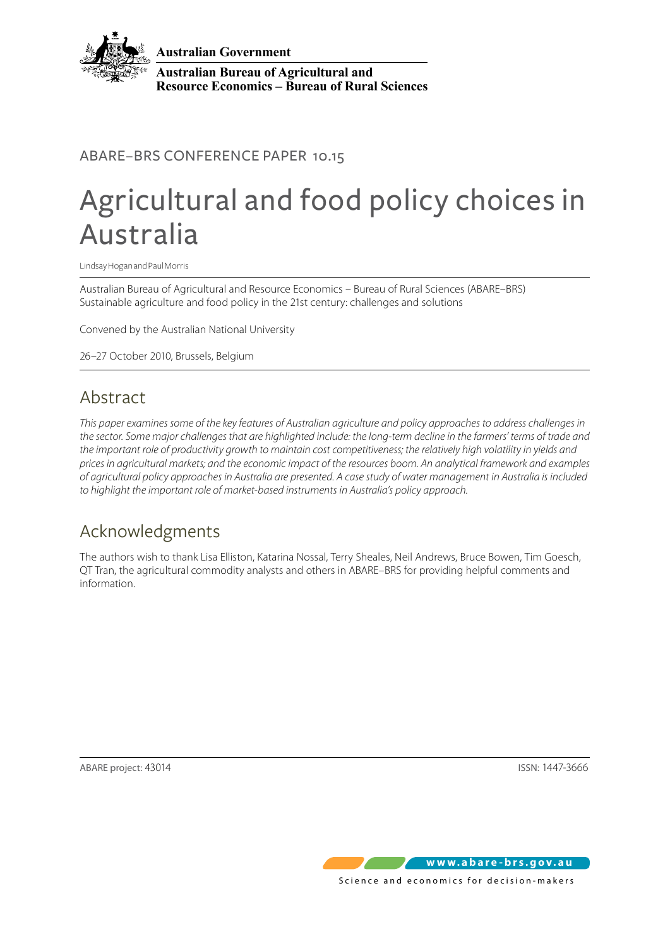

**Australian Government**

**Australian Bureau of Agricultural and Resource Economics – Bureau of Rural Sciences**

### ABARE–BRS CONFERENCE PAPER 10.15

## Agricultural and food policy choices in Australia

Lindsay Hogan and Paul Morris

Australian Bureau of Agricultural and Resource Economics – Bureau of Rural Sciences (ABARE–BRS) Sustainable agriculture and food policy in the 21st century: challenges and solutions

Convened by the Australian National University

26–27 October 2010, Brussels, Belgium

## Abstract

*This paper examines some of the key features of Australian agriculture and policy approaches to address challenges in the sector. Some major challenges that are highlighted include: the long-term decline in the farmers' terms of trade and the important role of productivity growth to maintain cost competitiveness; the relatively high volatility in yields and prices in agricultural markets; and the economic impact of the resources boom. An analytical framework and examples of agricultural policy approaches in Australia are presented. A case study of water management in Australia is included to highlight the important role of market-based instruments in Australia's policy approach.*

## Acknowledgments

The authors wish to thank Lisa Elliston, Katarina Nossal, Terry Sheales, Neil Andrews, Bruce Bowen, Tim Goesch, QT Tran, the agricultural commodity analysts and others in ABARE–BRS for providing helpful comments and information.

ABARE project: 43014 ISSN: 1447-3666

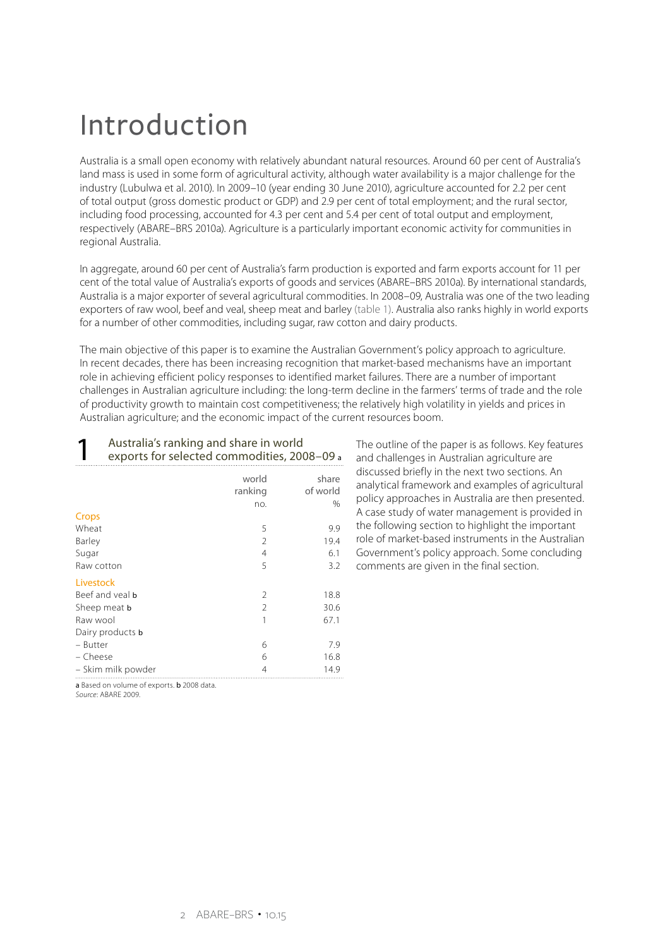## Introduction

Australia is a small open economy with relatively abundant natural resources. Around 60 per cent of Australia's land mass is used in some form of agricultural activity, although water availability is a major challenge for the industry (Lubulwa et al. 2010). In 2009–10 (year ending 30 June 2010), agriculture accounted for 2.2 per cent of total output (gross domestic product or GDP) and 2.9 per cent of total employment; and the rural sector, including food processing, accounted for 4.3 per cent and 5.4 per cent of total output and employment, respectively (ABARE–BRS 2010a). Agriculture is a particularly important economic activity for communities in regional Australia.

In aggregate, around 60 per cent of Australia's farm production is exported and farm exports account for 11 per cent of the total value of Australia's exports of goods and services (ABARE–BRS 2010a). By international standards, Australia is a major exporter of several agricultural commodities. In 2008–09, Australia was one of the two leading exporters of raw wool, beef and veal, sheep meat and barley (table 1). Australia also ranks highly in world exports for a number of other commodities, including sugar, raw cotton and dairy products.

The main objective of this paper is to examine the Australian Government's policy approach to agriculture. In recent decades, there has been increasing recognition that market-based mechanisms have an important role in achieving efficient policy responses to identified market failures. There are a number of important challenges in Australian agriculture including: the long-term decline in the farmers' terms of trade and the role of productivity growth to maintain cost competitiveness; the relatively high volatility in yields and prices in Australian agriculture; and the economic impact of the current resources boom.

| Australia's ranking and share in world<br>exports for selected commodities, 2008-09 a |                         |                           |  |
|---------------------------------------------------------------------------------------|-------------------------|---------------------------|--|
|                                                                                       | world<br>ranking<br>no. | share<br>of world<br>$\%$ |  |
| Crops                                                                                 |                         |                           |  |
| Wheat                                                                                 | 5                       | 9.9                       |  |
| Barley                                                                                | $\mathcal{P}$           | 19.4                      |  |
| Sugar                                                                                 | 4                       | 6.1                       |  |
| Raw cotton                                                                            | 5                       | 3.2                       |  |
| Livestock                                                                             |                         |                           |  |
| Beef and yeal <b>b</b>                                                                | $\mathcal{P}$           | 18.8                      |  |
| Sheep meat <b>b</b>                                                                   | $\mathfrak{D}$          | 30.6                      |  |
| Raw wool                                                                              | 1                       | 67.1                      |  |
| Dairy products <b>b</b>                                                               |                         |                           |  |
| – Butter                                                                              | 6                       | 7.9                       |  |
| - Cheese                                                                              | 6                       | 16.8                      |  |
| – Skim milk powder                                                                    | 4                       | 14.9                      |  |

The outline of the paper is as follows. Key features and challenges in Australian agriculture are discussed briefly in the next two sections. An analytical framework and examples of agricultural policy approaches in Australia are then presented. A case study of water management is provided in the following section to highlight the important role of market-based instruments in the Australian Government's policy approach. Some concluding comments are given in the final section.

a Based on volume of exports. **b** 2008 data.

*Source*: ABARE 2009.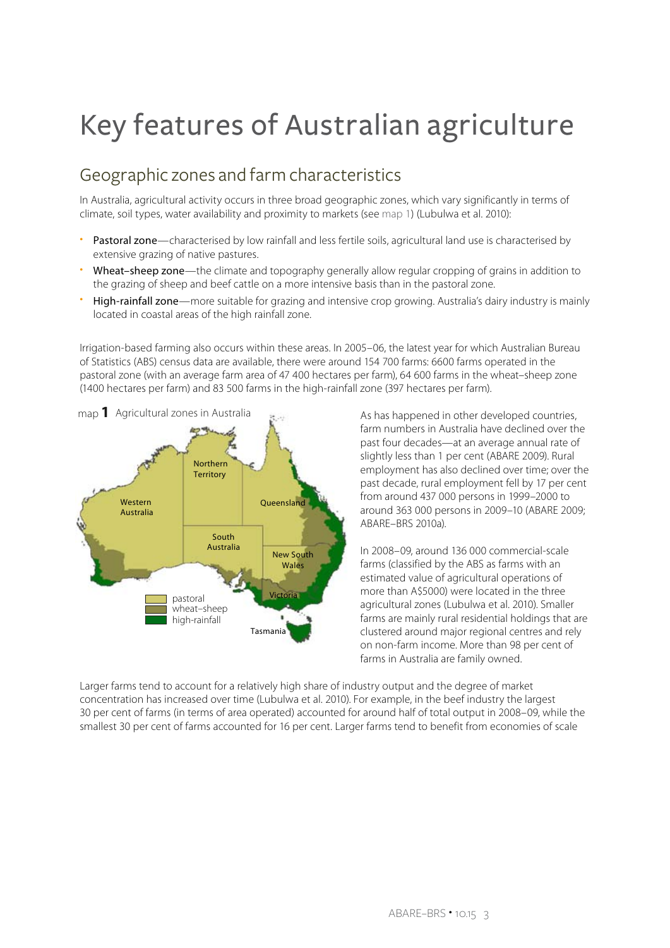# Key features of Australian agriculture

## Geographic zones and farm characteristics

In Australia, agricultural activity occurs in three broad geographic zones, which vary significantly in terms of climate, soil types, water availability and proximity to markets (see map 1) (Lubulwa et al. 2010):

- Pastoral zone—characterised by low rainfall and less fertile soils, agricultural land use is characterised by extensive grazing of native pastures.
- Wheat-sheep zone—the climate and topography generally allow regular cropping of grains in addition to the grazing of sheep and beef cattle on a more intensive basis than in the pastoral zone.
- High-rainfall zone—more suitable for grazing and intensive crop growing. Australia's dairy industry is mainly located in coastal areas of the high rainfall zone.

Irrigation-based farming also occurs within these areas. In 2005–06, the latest year for which Australian Bureau of Statistics (ABS) census data are available, there were around 154 700 farms: 6600 farms operated in the pastoral zone (with an average farm area of 47 400 hectares per farm), 64 600 farms in the wheat–sheep zone (1400 hectares per farm) and 83 500 farms in the high-rainfall zone (397 hectares per farm).



As has happened in other developed countries, farm numbers in Australia have declined over the past four decades—at an average annual rate of slightly less than 1 per cent (ABARE 2009). Rural employment has also declined over time; over the past decade, rural employment fell by 17 per cent from around 437 000 persons in 1999–2000 to around 363 000 persons in 2009–10 (ABARE 2009; ABARE–BRS 2010a).

In 2008–09, around 136 000 commercial-scale farms (classified by the ABS as farms with an estimated value of agricultural operations of more than A\$5000) were located in the three agricultural zones (Lubulwa et al. 2010). Smaller farms are mainly rural residential holdings that are clustered around major regional centres and rely on non-farm income. More than 98 per cent of farms in Australia are family owned.

Larger farms tend to account for a relatively high share of industry output and the degree of market concentration has increased over time (Lubulwa et al. 2010). For example, in the beef industry the largest 30 per cent of farms (in terms of area operated) accounted for around half of total output in 2008–09, while the smallest 30 per cent of farms accounted for 16 per cent. Larger farms tend to benefit from economies of scale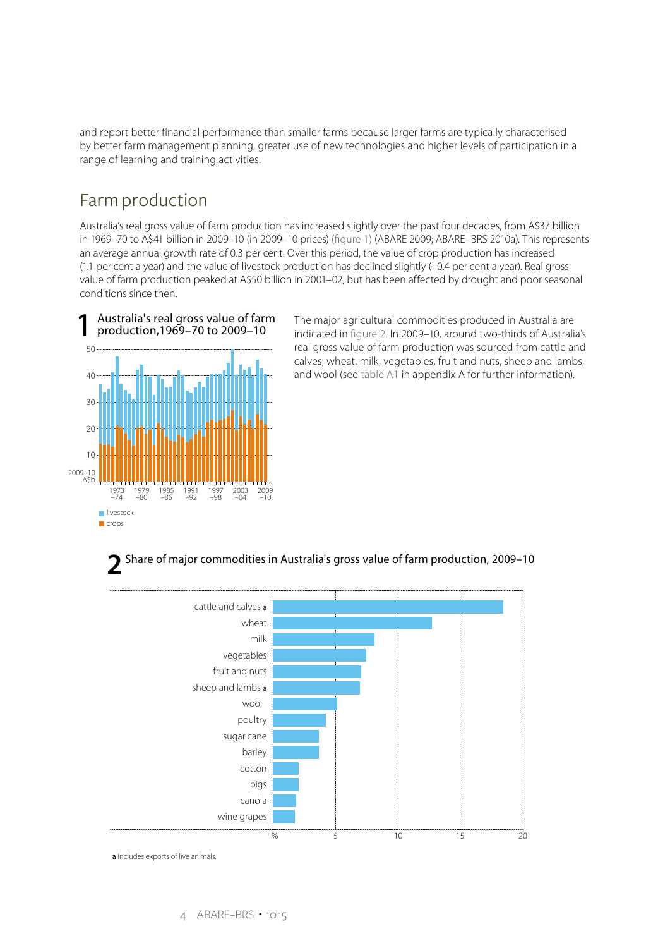and report better financial performance than smaller farms because larger farms are typically characterised by better farm management planning, greater use of new technologies and higher levels of participation in a range of learning and training activities.

### Farm production

Australia's real gross value of farm production has increased slightly over the past four decades, from A\$37 billion in 1969–70 to A\$41 billion in 2009–10 (in 2009–10 prices) (figure 1) (ABARE 2009; ABARE–BRS 2010a). This represents an average annual growth rate of 0.3 per cent. Over this period, the value of crop production has increased (1.1 per cent a year) and the value of livestock production has declined slightly (–0.4 per cent a year). Real gross value of farm production peaked at A\$50 billion in 2001–02, but has been affected by drought and poor seasonal conditions since then.



The major agricultural commodities produced in Australia are indicated in figure 2. In 2009–10, around two-thirds of Australia's real gross value of farm production was sourced from cattle and calves, wheat, milk, vegetables, fruit and nuts, sheep and lambs, and wool (see table A1 in appendix A for further information).

### Share of major commodities in Australia's gross value of farm production, 2009–10 **2**



a Includes exports of live animals.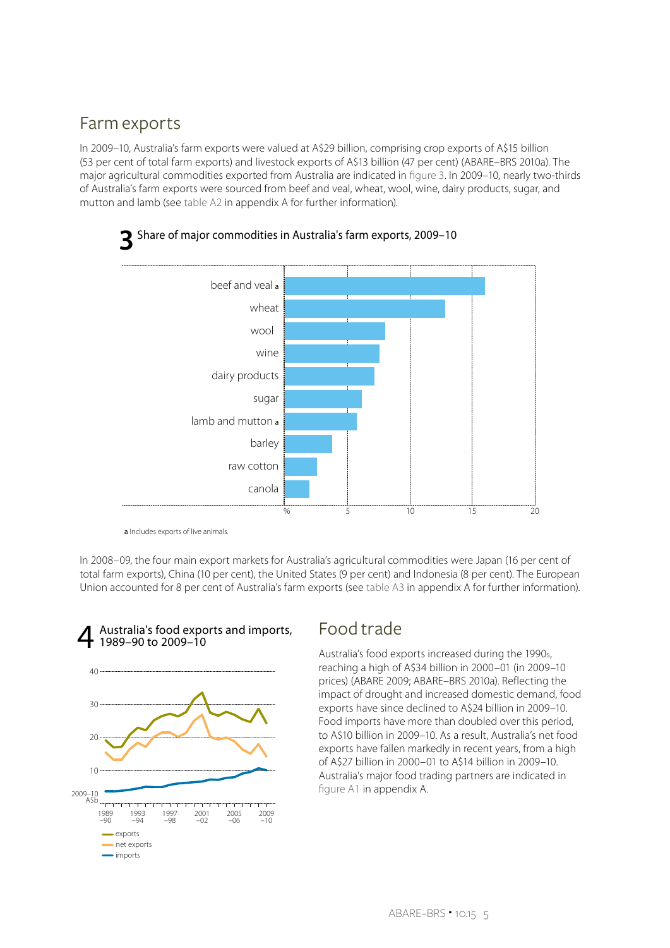### Farm exports

In 2009–10, Australia's farm exports were valued at A\$29 billion, comprising crop exports of A\$15 billion (53 per cent of total farm exports) and livestock exports of A\$13 billion (47 per cent) (ABARE–BRS 2010a). The major agricultural commodities exported from Australia are indicated in figure 3. In 2009–10, nearly two-thirds of Australia's farm exports were sourced from beef and veal, wheat, wool, wine, dairy products, sugar, and mutton and lamb (see table A2 in appendix A for further information).



a Includes exports of live animals.

In 2008–09, the four main export markets for Australia's agricultural commodities were Japan (16 per cent of total farm exports), China (10 per cent), the United States (9 per cent) and Indonesia (8 per cent). The European Union accounted for 8 per cent of Australia's farm exports (see table A3 in appendix A for further information).



#### Food trade Australia's food exports and imports, 4 1989–90 to 2009–10

Australia's food exports increased during the 1990s, reaching a high of A\$34 billion in 2000–01 (in 2009–10 prices) (ABARE 2009; ABARE–BRS 2010a). Reflecting the impact of drought and increased domestic demand, food exports have since declined to A\$24 billion in 2009–10. Food imports have more than doubled over this period, to A\$10 billion in 2009–10. As a result, Australia's net food exports have fallen markedly in recent years, from a high of A\$27 billion in 2000–01 to A\$14 billion in 2009–10. Australia's major food trading partners are indicated in figure A1 in appendix A.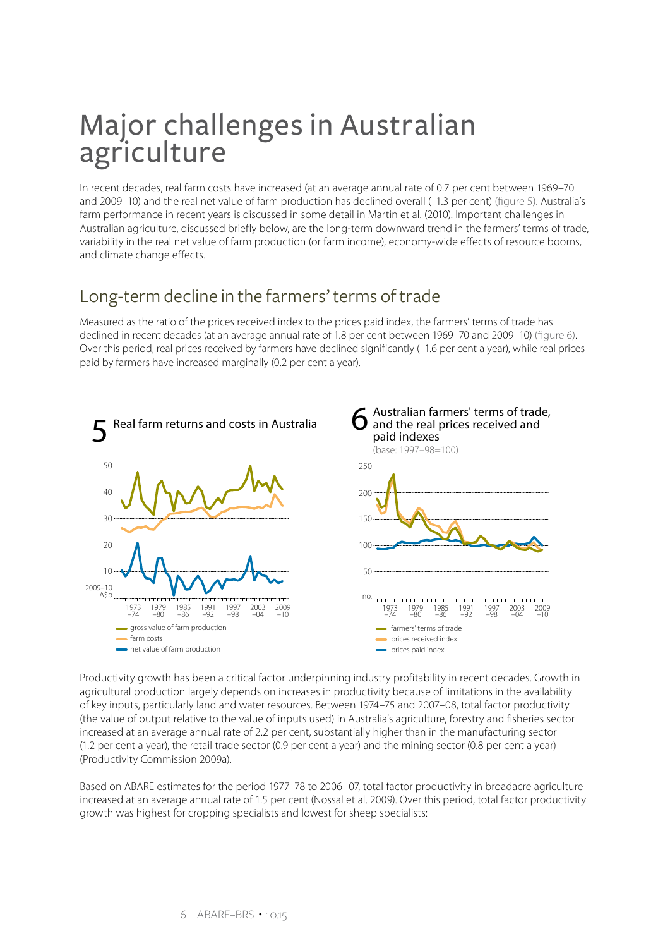## Major challenges in Australian agriculture

In recent decades, real farm costs have increased (at an average annual rate of 0.7 per cent between 1969–70 and 2009–10) and the real net value of farm production has declined overall (–1.3 per cent) (figure 5). Australia's farm performance in recent years is discussed in some detail in Martin et al. (2010). Important challenges in Australian agriculture, discussed briefly below, are the long-term downward trend in the farmers' terms of trade, variability in the real net value of farm production (or farm income), economy-wide effects of resource booms, and climate change effects.

## Long-term decline in the farmers' terms of trade

Measured as the ratio of the prices received index to the prices paid index, the farmers' terms of trade has declined in recent decades (at an average annual rate of 1.8 per cent between 1969–70 and 2009–10) (figure 6). Over this period, real prices received by farmers have declined significantly (–1.6 per cent a year), while real prices paid by farmers have increased marginally (0.2 per cent a year).



Productivity growth has been a critical factor underpinning industry profitability in recent decades. Growth in agricultural production largely depends on increases in productivity because of limitations in the availability of key inputs, particularly land and water resources. Between 1974–75 and 2007–08, total factor productivity (the value of output relative to the value of inputs used) in Australia's agriculture, forestry and fisheries sector increased at an average annual rate of 2.2 per cent, substantially higher than in the manufacturing sector (1.2 per cent a year), the retail trade sector (0.9 per cent a year) and the mining sector (0.8 per cent a year) (Productivity Commission 2009a).

Based on ABARE estimates for the period 1977–78 to 2006–07, total factor productivity in broadacre agriculture increased at an average annual rate of 1.5 per cent (Nossal et al. 2009). Over this period, total factor productivity growth was highest for cropping specialists and lowest for sheep specialists: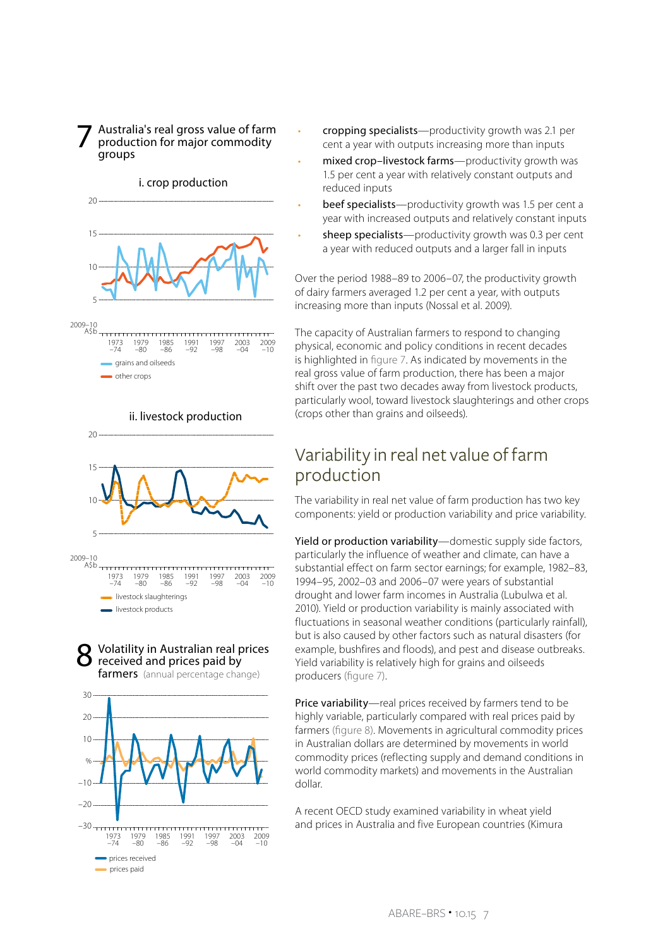Australia's real gross value of farm production for major commodity groups 7

#### i. crop production



ii. livestock production



#### Volatility in Australian real prices received and prices paid by 8

farmers (annual percentage change)



- cropping specialists—productivity growth was 2.1 per cent a year with outputs increasing more than inputs
- mixed crop-livestock farms-productivity growth was 1.5 per cent a year with relatively constant outputs and reduced inputs
- beef specialists—productivity growth was 1.5 per cent a year with increased outputs and relatively constant inputs
- sheep specialists—productivity growth was 0.3 per cent a year with reduced outputs and a larger fall in inputs

Over the period 1988–89 to 2006–07, the productivity growth of dairy farmers averaged 1.2 per cent a year, with outputs increasing more than inputs (Nossal et al. 2009).

The capacity of Australian farmers to respond to changing physical, economic and policy conditions in recent decades is highlighted in figure 7. As indicated by movements in the real gross value of farm production, there has been a major shift over the past two decades away from livestock products, particularly wool, toward livestock slaughterings and other crops (crops other than grains and oilseeds).

### Variability in real net value of farm production

The variability in real net value of farm production has two key components: yield or production variability and price variability.

Yield or production variability—domestic supply side factors, particularly the influence of weather and climate, can have a substantial effect on farm sector earnings; for example, 1982–83, 1994–95, 2002–03 and 2006–07 were years of substantial drought and lower farm incomes in Australia (Lubulwa et al. 2010). Yield or production variability is mainly associated with fluctuations in seasonal weather conditions (particularly rainfall), but is also caused by other factors such as natural disasters (for example, bushfires and floods), and pest and disease outbreaks. Yield variability is relatively high for grains and oilseeds producers (figure 7).

Price variability—real prices received by farmers tend to be highly variable, particularly compared with real prices paid by farmers (figure 8). Movements in agricultural commodity prices in Australian dollars are determined by movements in world commodity prices (reflecting supply and demand conditions in world commodity markets) and movements in the Australian dollar.

A recent OECD study examined variability in wheat yield and prices in Australia and five European countries (Kimura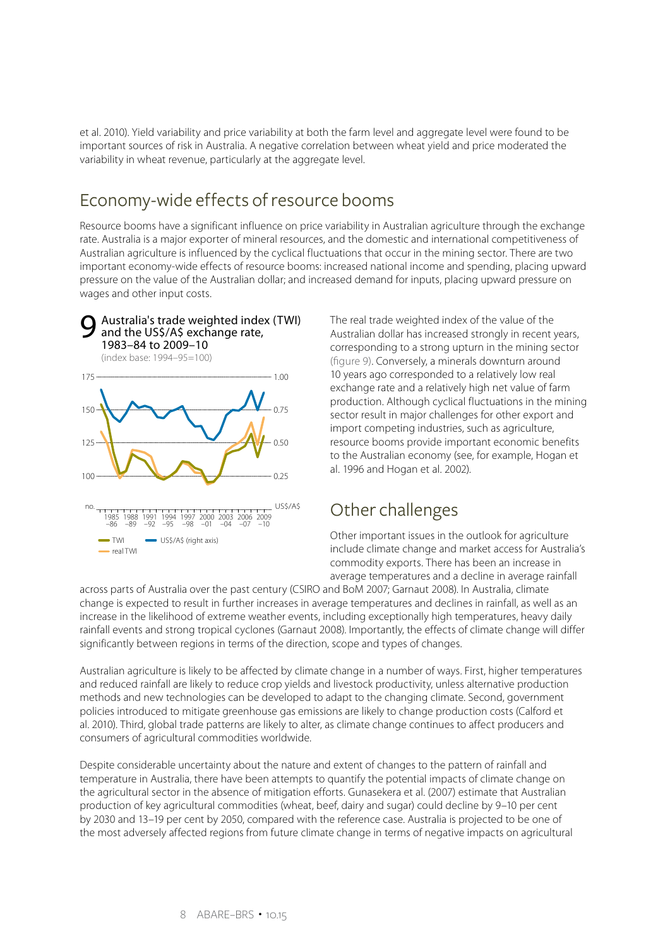et al. 2010). Yield variability and price variability at both the farm level and aggregate level were found to be important sources of risk in Australia. A negative correlation between wheat yield and price moderated the variability in wheat revenue, particularly at the aggregate level.

### Economy-wide effects of resource booms

Resource booms have a significant influence on price variability in Australian agriculture through the exchange rate. Australia is a major exporter of mineral resources, and the domestic and international competitiveness of Australian agriculture is influenced by the cyclical fluctuations that occur in the mining sector. There are two important economy-wide effects of resource booms: increased national income and spending, placing upward pressure on the value of the Australian dollar; and increased demand for inputs, placing upward pressure on wages and other input costs.



The real trade weighted index of the value of the Australian dollar has increased strongly in recent years, corresponding to a strong upturn in the mining sector (figure 9). Conversely, a minerals downturn around 10 years ago corresponded to a relatively low real exchange rate and a relatively high net value of farm production. Although cyclical fluctuations in the mining sector result in major challenges for other export and import competing industries, such as agriculture, resource booms provide important economic benefits to the Australian economy (see, for example, Hogan et al. 1996 and Hogan et al. 2002).

## Other challenges

Other important issues in the outlook for agriculture include climate change and market access for Australia's commodity exports. There has been an increase in average temperatures and a decline in average rainfall

across parts of Australia over the past century (CSIRO and BoM 2007; Garnaut 2008). In Australia, climate change is expected to result in further increases in average temperatures and declines in rainfall, as well as an increase in the likelihood of extreme weather events, including exceptionally high temperatures, heavy daily rainfall events and strong tropical cyclones (Garnaut 2008). Importantly, the effects of climate change will differ significantly between regions in terms of the direction, scope and types of changes.

Australian agriculture is likely to be affected by climate change in a number of ways. First, higher temperatures and reduced rainfall are likely to reduce crop yields and livestock productivity, unless alternative production methods and new technologies can be developed to adapt to the changing climate. Second, government policies introduced to mitigate greenhouse gas emissions are likely to change production costs (Calford et al. 2010). Third, global trade patterns are likely to alter, as climate change continues to affect producers and consumers of agricultural commodities worldwide.

Despite considerable uncertainty about the nature and extent of changes to the pattern of rainfall and temperature in Australia, there have been attempts to quantify the potential impacts of climate change on the agricultural sector in the absence of mitigation efforts. Gunasekera et al. (2007) estimate that Australian production of key agricultural commodities (wheat, beef, dairy and sugar) could decline by 9–10 per cent by 2030 and 13–19 per cent by 2050, compared with the reference case. Australia is projected to be one of the most adversely affected regions from future climate change in terms of negative impacts on agricultural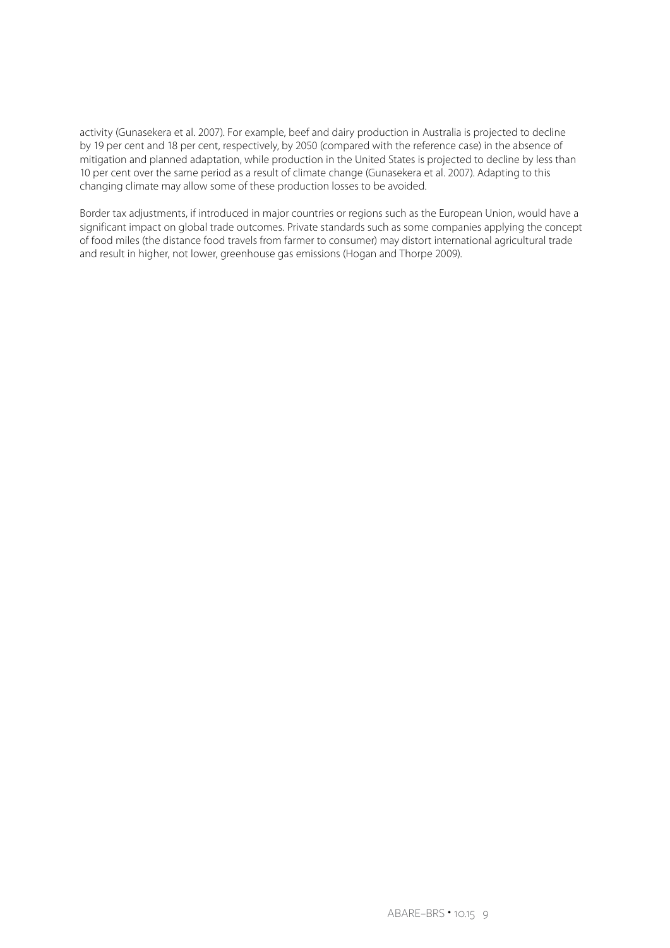activity (Gunasekera et al. 2007). For example, beef and dairy production in Australia is projected to decline by 19 per cent and 18 per cent, respectively, by 2050 (compared with the reference case) in the absence of mitigation and planned adaptation, while production in the United States is projected to decline by less than 10 per cent over the same period as a result of climate change (Gunasekera et al. 2007). Adapting to this changing climate may allow some of these production losses to be avoided.

Border tax adjustments, if introduced in major countries or regions such as the European Union, would have a significant impact on global trade outcomes. Private standards such as some companies applying the concept of food miles (the distance food travels from farmer to consumer) may distort international agricultural trade and result in higher, not lower, greenhouse gas emissions (Hogan and Thorpe 2009).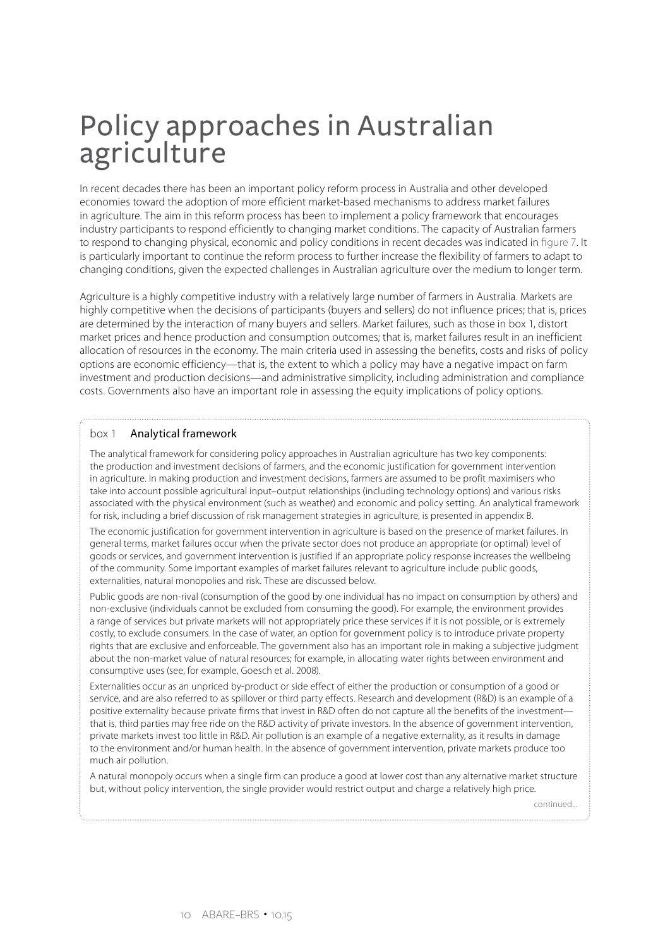## Policy approaches in Australian agriculture

In recent decades there has been an important policy reform process in Australia and other developed economies toward the adoption of more efficient market-based mechanisms to address market failures in agriculture. The aim in this reform process has been to implement a policy framework that encourages industry participants to respond efficiently to changing market conditions. The capacity of Australian farmers to respond to changing physical, economic and policy conditions in recent decades was indicated in figure 7. It is particularly important to continue the reform process to further increase the flexibility of farmers to adapt to changing conditions, given the expected challenges in Australian agriculture over the medium to longer term.

Agriculture is a highly competitive industry with a relatively large number of farmers in Australia. Markets are highly competitive when the decisions of participants (buyers and sellers) do not influence prices; that is, prices are determined by the interaction of many buyers and sellers. Market failures, such as those in box 1, distort market prices and hence production and consumption outcomes; that is, market failures result in an inefficient allocation of resources in the economy. The main criteria used in assessing the benefits, costs and risks of policy options are economic efficiency—that is, the extent to which a policy may have a negative impact on farm investment and production decisions—and administrative simplicity, including administration and compliance costs. Governments also have an important role in assessing the equity implications of policy options.

#### box 1 Analytical framework

The analytical framework for considering policy approaches in Australian agriculture has two key components: the production and investment decisions of farmers, and the economic justification for government intervention in agriculture. In making production and investment decisions, farmers are assumed to be profit maximisers who take into account possible agricultural input–output relationships (including technology options) and various risks associated with the physical environment (such as weather) and economic and policy setting. An analytical framework for risk, including a brief discussion of risk management strategies in agriculture, is presented in appendix B.

The economic justification for government intervention in agriculture is based on the presence of market failures. In general terms, market failures occur when the private sector does not produce an appropriate (or optimal) level of goods or services, and government intervention is justified if an appropriate policy response increases the wellbeing of the community. Some important examples of market failures relevant to agriculture include public goods, externalities, natural monopolies and risk. These are discussed below.

Public goods are non-rival (consumption of the good by one individual has no impact on consumption by others) and non-exclusive (individuals cannot be excluded from consuming the good). For example, the environment provides a range of services but private markets will not appropriately price these services if it is not possible, or is extremely costly, to exclude consumers. In the case of water, an option for government policy is to introduce private property rights that are exclusive and enforceable. The government also has an important role in making a subjective judgment about the non-market value of natural resources; for example, in allocating water rights between environment and consumptive uses (see, for example, Goesch et al. 2008).

Externalities occur as an unpriced by-product or side effect of either the production or consumption of a good or service, and are also referred to as spillover or third party effects. Research and development (R&D) is an example of a positive externality because private firms that invest in R&D often do not capture all the benefits of the investment that is, third parties may free ride on the R&D activity of private investors. In the absence of government intervention, private markets invest too little in R&D. Air pollution is an example of a negative externality, as it results in damage to the environment and/or human health. In the absence of government intervention, private markets produce too much air pollution.

A natural monopoly occurs when a single firm can produce a good at lower cost than any alternative market structure but, without policy intervention, the single provider would restrict output and charge a relatively high price.

continued...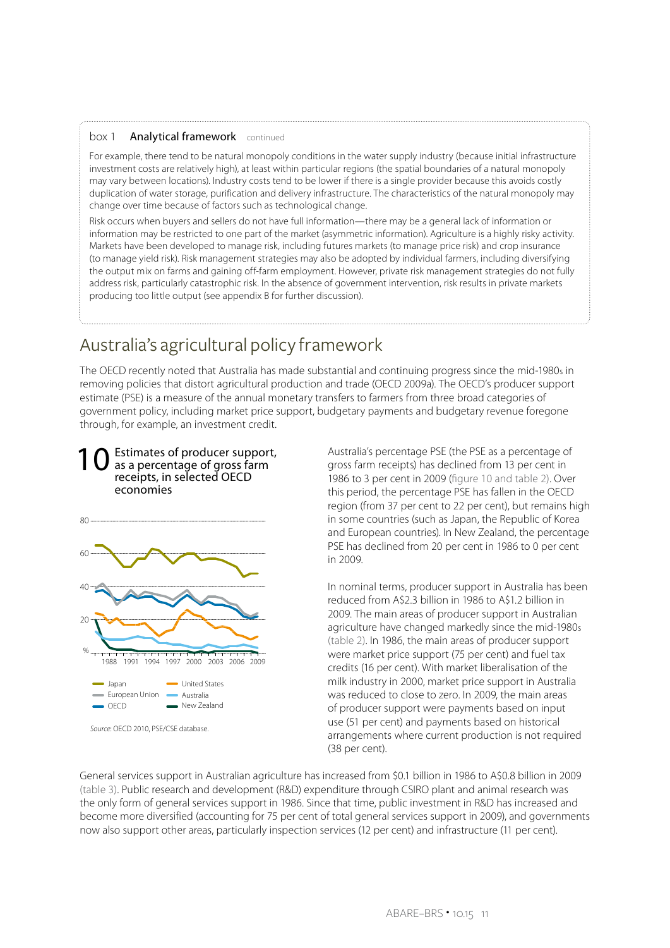#### box 1 Analytical framework continued

For example, there tend to be natural monopoly conditions in the water supply industry (because initial infrastructure investment costs are relatively high), at least within particular regions (the spatial boundaries of a natural monopoly may vary between locations). Industry costs tend to be lower if there is a single provider because this avoids costly duplication of water storage, purification and delivery infrastructure. The characteristics of the natural monopoly may change over time because of factors such as technological change.

Risk occurs when buyers and sellers do not have full information—there may be a general lack of information or information may be restricted to one part of the market (asymmetric information). Agriculture is a highly risky activity. Markets have been developed to manage risk, including futures markets (to manage price risk) and crop insurance (to manage yield risk). Risk management strategies may also be adopted by individual farmers, including diversifying the output mix on farms and gaining off-farm employment. However, private risk management strategies do not fully address risk, particularly catastrophic risk. In the absence of government intervention, risk results in private markets producing too little output (see appendix B for further discussion).

### Australia's agricultural policy framework

The OECD recently noted that Australia has made substantial and continuing progress since the mid-1980s in removing policies that distort agricultural production and trade (OECD 2009a). The OECD's producer support estimate (PSE) is a measure of the annual monetary transfers to farmers from three broad categories of government policy, including market price support, budgetary payments and budgetary revenue foregone through, for example, an investment credit.



*Source*: OECD 2010, PSE/CSE database.

Australia's percentage PSE (the PSE as a percentage of gross farm receipts) has declined from 13 per cent in 1986 to 3 per cent in 2009 (figure 10 and table 2). Over this period, the percentage PSE has fallen in the OECD region (from 37 per cent to 22 per cent), but remains high in some countries (such as Japan, the Republic of Korea and European countries). In New Zealand, the percentage PSE has declined from 20 per cent in 1986 to 0 per cent in 2009.

In nominal terms, producer support in Australia has been reduced from A\$2.3 billion in 1986 to A\$1.2 billion in 2009. The main areas of producer support in Australian agriculture have changed markedly since the mid-1980s (table 2). In 1986, the main areas of producer support were market price support (75 per cent) and fuel tax credits (16 per cent). With market liberalisation of the milk industry in 2000, market price support in Australia was reduced to close to zero. In 2009, the main areas of producer support were payments based on input use (51 per cent) and payments based on historical arrangements where current production is not required (38 per cent).

General services support in Australian agriculture has increased from \$0.1 billion in 1986 to A\$0.8 billion in 2009 (table 3). Public research and development (R&D) expenditure through CSIRO plant and animal research was the only form of general services support in 1986. Since that time, public investment in R&D has increased and become more diversified (accounting for 75 per cent of total general services support in 2009), and governments now also support other areas, particularly inspection services (12 per cent) and infrastructure (11 per cent).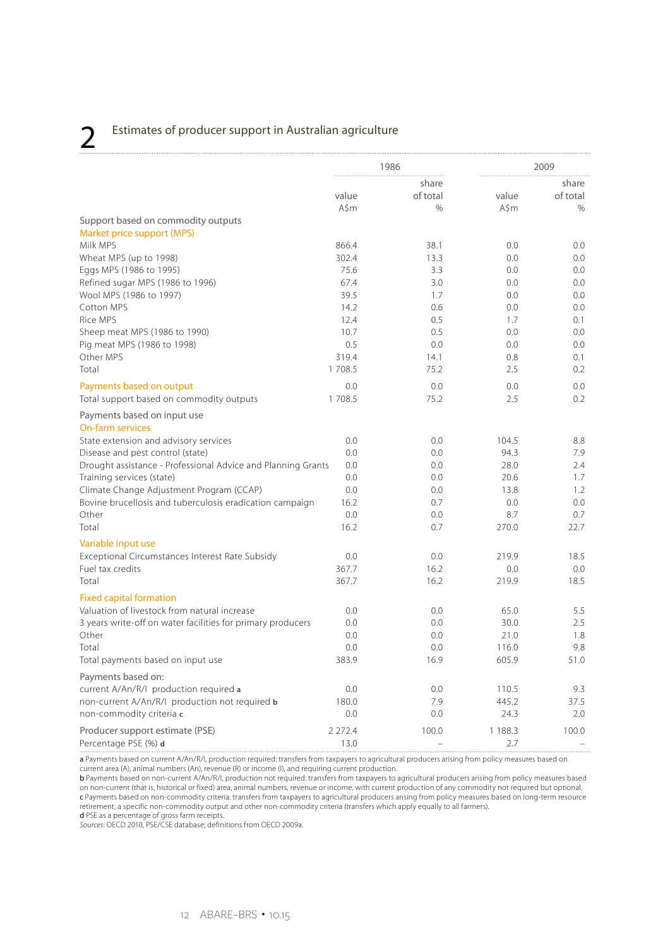## 2 Estimates of producer support in Australian agriculture

|                                                              |           | 1986     |             | 2009     |
|--------------------------------------------------------------|-----------|----------|-------------|----------|
|                                                              |           | share    |             | share    |
|                                                              | value     | of total | value       | of total |
|                                                              | A\$m      | $\%$     | A\$m        | $\%$     |
| Support based on commodity outputs                           |           |          |             |          |
| Market price support (MPS)                                   |           |          |             |          |
| Milk MPS                                                     | 866.4     | 38.1     | 0.0         | 0.0      |
| Wheat MPS (up to 1998)                                       | 302.4     | 13.3     | 0.0         | 0.0      |
| Eggs MPS (1986 to 1995)                                      | 75.6      | 3.3      | 0.0         | 0.0      |
| Refined sugar MPS (1986 to 1996)                             | 67.4      | 3.0      | 0.0         | 0.0      |
| Wool MPS (1986 to 1997)                                      | 39.5      | 1.7      | 0.0         | 0.0      |
| Cotton MPS                                                   | 14.2      | 0.6      | 0.0         | 0.0      |
| Rice MPS                                                     | 12.4      | 0.5      | 1.7         | 0.1      |
| Sheep meat MPS (1986 to 1990)                                | 10.7      | 0.5      | 0.0         | 0.0      |
| Pig meat MPS (1986 to 1998)                                  | 0.5       | 0.0      | 0.0         | 0.0      |
| Other MPS                                                    | 319.4     | 14.1     | 0.8         | 0.1      |
| Total                                                        | 1 708.5   | 75.2     | 2.5         | 0.2      |
| Payments based on output                                     | 0.0       | 0.0      | 0.0         | 0.0      |
| Total support based on commodity outputs                     | 1 708.5   | 75.2     | 2.5         | 0.2      |
| Payments based on input use                                  |           |          |             |          |
| <b>On-farm services</b>                                      |           |          |             |          |
| State extension and advisory services                        | 0.0       | 0.0      | 104.5       | 8.8      |
| Disease and pest control (state)                             | 0.0       | 0.0      | 94.3        | 7.9      |
| Drought assistance - Professional Advice and Planning Grants | 0.0       | 0.0      | 28.0        | 2.4      |
| Training services (state)                                    | 0.0       | 0.0      | 20.6        | 1.7      |
| Climate Change Adjustment Program (CCAP)                     | 0.0       | 0.0      | 13.8        | 1.2      |
| Bovine brucellosis and tuberculosis eradication campaign     | 16.2      | 0.7      | 0.0         | 0.0      |
| Other                                                        | 0.0       | 0.0      | 8.7         | 0.7      |
| Total                                                        | 16.2      | 0.7      | 270.0       | 22.7     |
| Variable input use                                           |           |          |             |          |
| Exceptional Circumstances Interest Rate Subsidy              | 0.0       | 0.0      | 219.9       | 18.5     |
| Fuel tax credits                                             | 367.7     | 16.2     | 0.0         | 0.0      |
| Total                                                        | 367.7     | 16.2     | 219.9       | 18.5     |
| <b>Fixed capital formation</b>                               |           |          |             |          |
| Valuation of livestock from natural increase                 | 0.0       | 0.0      | 65.0        | 5.5      |
| 3 years write-off on water facilities for primary producers  | 0.0       | 0.0      | 30.0        | 2.5      |
| Other                                                        | 0.0       | 0.0      | 21.0        | 1.8      |
| Total                                                        | 0.0       | 0.0      | 116.0       | 9.8      |
| Total payments based on input use                            | 383.9     | 16.9     | 605.9       | 51.0     |
|                                                              |           |          |             |          |
| Payments based on:                                           |           |          |             |          |
| current A/An/R/I production required a                       | 0.0       | 0.0      | 110.5       | 9.3      |
| non-current A/An/R/I production not required b               | 180.0     | 7.9      | 445.2       | 37.5     |
| non-commodity criteria c                                     | 0.0       | 0.0      | 24.3        | 2.0      |
| Producer support estimate (PSE)                              | 2 2 7 2.4 | 100.0    | 1 1 8 8 . 3 | 100.0    |
| Percentage PSE (%) d                                         | 13.0      |          | 2.7         |          |

a Payments based on current A/An/R/I, production required: transfers from taxpayers to agricultural producers arising from policy measures based on current area (A), animal numbers (An), revenue (R) or income (I), and requiring current production.

b Payments based on non-current A/An/R/I, production not required: transfers from taxpayers to agricultural producers arising from policy measures based on non-current (that is, historical or fixed) area, animal numbers, revenue or income, with current production of any commodity not required but optional. c Payments based on non-commodity criteria: transfers from taxpayers to agricultural producers arising from policy measures based on long-term resource retirement, a specific non-commodity output and other non-commodity criteria (transfers which apply equally to all farmers).

d PSE as a percentage of gross farm receipts. *Sources*: OECD 2010, PSE/CSE database; definitions from OECD 2009a.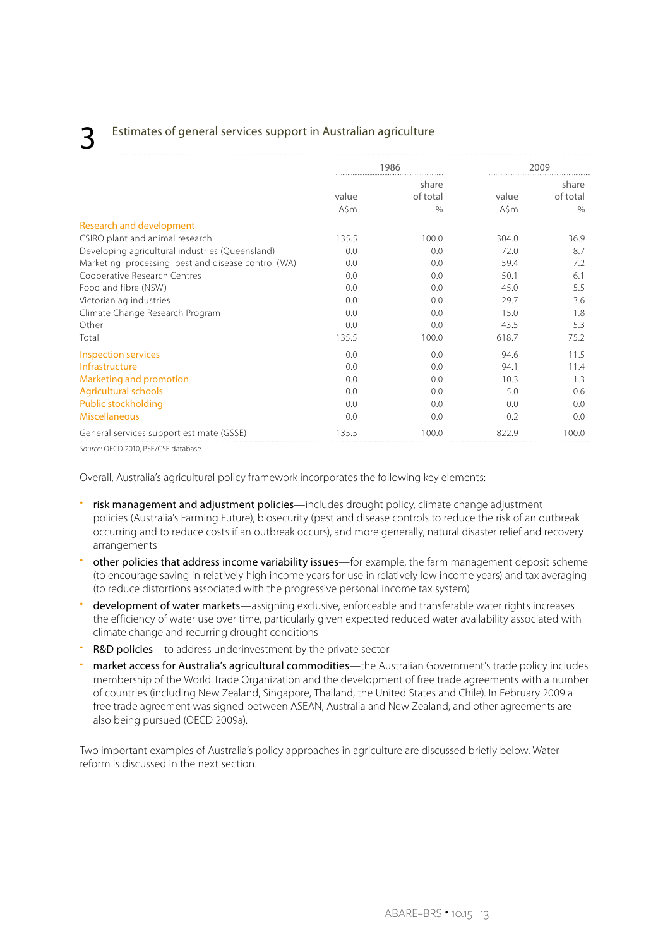### Estimates of general services support in Australian agriculture

|                                                    | 1986          |                           | 2009          |                           |
|----------------------------------------------------|---------------|---------------------------|---------------|---------------------------|
|                                                    | value<br>A\$m | share<br>of total<br>$\%$ | value<br>A\$m | share<br>of total<br>$\%$ |
| <b>Research and development</b>                    |               |                           |               |                           |
| CSIRO plant and animal research                    | 135.5         | 100.0                     | 304.0         | 36.9                      |
| Developing agricultural industries (Queensland)    | 0.0           | 0.0                       | 72.0          | 8.7                       |
| Marketing processing pest and disease control (WA) | 0.0           | 0.0                       | 59.4          | 7.2                       |
| Cooperative Research Centres                       | 0.0           | 0.0                       | 50.1          | 6.1                       |
| Food and fibre (NSW)                               | 0.0           | 0.0                       | 45.0          | 5.5                       |
| Victorian ag industries                            | 0.0           | 0.0                       | 29.7          | 3.6                       |
| Climate Change Research Program                    | 0.0           | 0.0                       | 15.0          | 1.8                       |
| Other                                              | 0.0           | 0.0                       | 43.5          | 5.3                       |
| Total                                              | 135.5         | 100.0                     | 618.7         | 75.2                      |
| Inspection services                                | 0.0           | 0.0                       | 94.6          | 11.5                      |
| Infrastructure                                     | 0.0           | 0.0                       | 94.1          | 11.4                      |
| Marketing and promotion                            | 0.0           | 0.0                       | 10.3          | 1.3                       |
| <b>Agricultural schools</b>                        | 0.0           | 0.0                       | 5.0           | 0.6                       |
| Public stockholding                                | 0.0           | 0.0                       | 0.0           | 0.0                       |
| <b>Miscellaneous</b>                               | 0.0           | 0.0                       | 0.2           | 0.0                       |
| General services support estimate (GSSE)           | 135.5         | 100.0                     | 822.9         | 100.0                     |

*Source*: OECD 2010, PSE/CSE database.

Overall, Australia's agricultural policy framework incorporates the following key elements:

- risk management and adjustment policies—includes drought policy, climate change adjustment policies (Australia's Farming Future), biosecurity (pest and disease controls to reduce the risk of an outbreak occurring and to reduce costs if an outbreak occurs), and more generally, natural disaster relief and recovery arrangements
- other policies that address income variability issues—for example, the farm management deposit scheme (to encourage saving in relatively high income years for use in relatively low income years) and tax averaging (to reduce distortions associated with the progressive personal income tax system)
- development of water markets—assigning exclusive, enforceable and transferable water rights increases the efficiency of water use over time, particularly given expected reduced water availability associated with climate change and recurring drought conditions
- R&D policies-to address underinvestment by the private sector
- market access for Australia's agricultural commodities—the Australian Government's trade policy includes membership of the World Trade Organization and the development of free trade agreements with a number of countries (including New Zealand, Singapore, Thailand, the United States and Chile). In February 2009 a free trade agreement was signed between ASEAN, Australia and New Zealand, and other agreements are also being pursued (OECD 2009a).

Two important examples of Australia's policy approaches in agriculture are discussed briefly below. Water reform is discussed in the next section.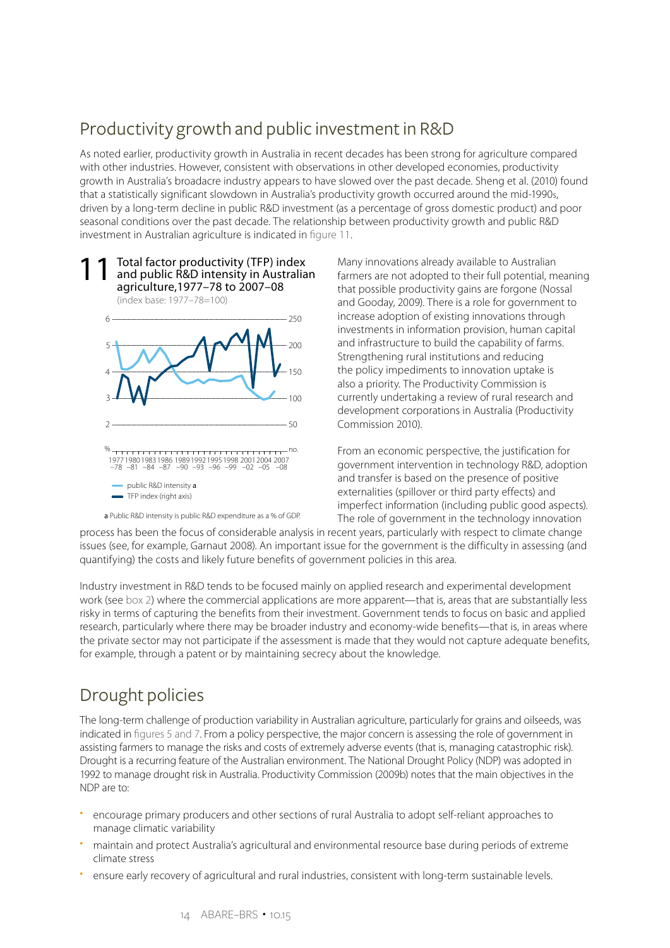## Productivity growth and public investment in R&D

As noted earlier, productivity growth in Australia in recent decades has been strong for agriculture compared with other industries. However, consistent with observations in other developed economies, productivity growth in Australia's broadacre industry appears to have slowed over the past decade. Sheng et al. (2010) found that a statistically significant slowdown in Australia's productivity growth occurred around the mid-1990s, driven by a long-term decline in public R&D investment (as a percentage of gross domestic product) and poor seasonal conditions over the past decade. The relationship between productivity growth and public R&D investment in Australian agriculture is indicated in figure 11.





a Public R&D intensity is public R&D expenditure as a % of GDP.

Many innovations already available to Australian farmers are not adopted to their full potential, meaning that possible productivity gains are forgone (Nossal and Gooday, 2009). There is a role for government to increase adoption of existing innovations through investments in information provision, human capital and infrastructure to build the capability of farms. Strengthening rural institutions and reducing the policy impediments to innovation uptake is also a priority. The Productivity Commission is currently undertaking a review of rural research and development corporations in Australia (Productivity Commission 2010).

From an economic perspective, the justification for government intervention in technology R&D, adoption and transfer is based on the presence of positive externalities (spillover or third party effects) and imperfect information (including public good aspects). The role of government in the technology innovation

process has been the focus of considerable analysis in recent years, particularly with respect to climate change issues (see, for example, Garnaut 2008). An important issue for the government is the difficulty in assessing (and quantifying) the costs and likely future benefits of government policies in this area.

Industry investment in R&D tends to be focused mainly on applied research and experimental development work (see box 2) where the commercial applications are more apparent—that is, areas that are substantially less risky in terms of capturing the benefits from their investment. Government tends to focus on basic and applied research, particularly where there may be broader industry and economy-wide benefits—that is, in areas where the private sector may not participate if the assessment is made that they would not capture adequate benefits, for example, through a patent or by maintaining secrecy about the knowledge.

## Drought policies

The long-term challenge of production variability in Australian agriculture, particularly for grains and oilseeds, was indicated in figures 5 and 7. From a policy perspective, the major concern is assessing the role of government in assisting farmers to manage the risks and costs of extremely adverse events (that is, managing catastrophic risk). Drought is a recurring feature of the Australian environment. The National Drought Policy (NDP) was adopted in 1992 to manage drought risk in Australia. Productivity Commission (2009b) notes that the main objectives in the NDP are to:

- encourage primary producers and other sections of rural Australia to adopt self-reliant approaches to manage climatic variability
- maintain and protect Australia's agricultural and environmental resource base during periods of extreme climate stress
- ensure early recovery of agricultural and rural industries, consistent with long-term sustainable levels.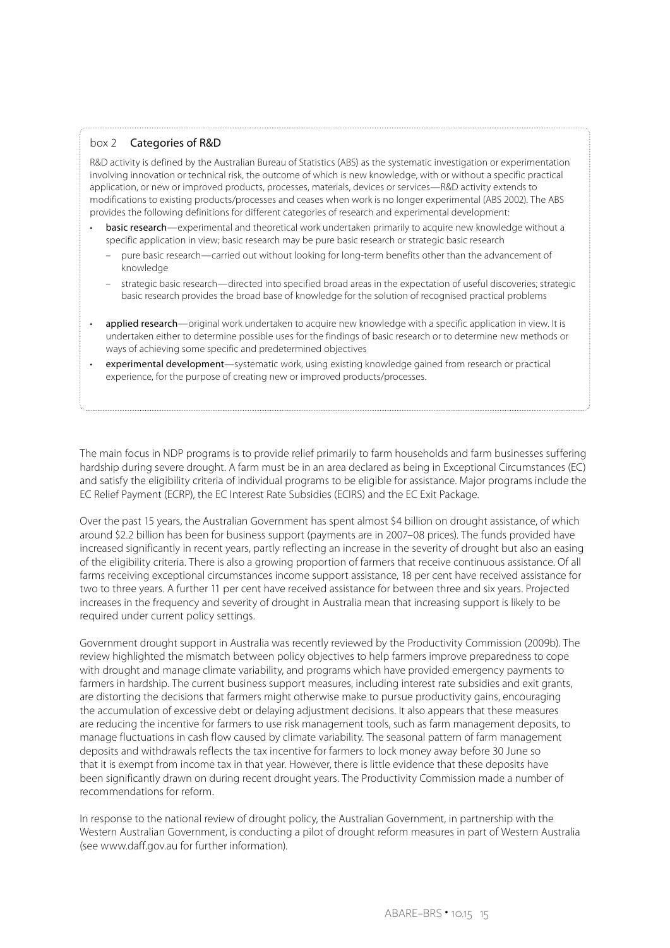#### box 2 Categories of R&D

R&D activity is defined by the Australian Bureau of Statistics (ABS) as the systematic investigation or experimentation involving innovation or technical risk, the outcome of which is new knowledge, with or without a specific practical application, or new or improved products, processes, materials, devices or services—R&D activity extends to modifications to existing products/processes and ceases when work is no longer experimental (ABS 2002). The ABS provides the following definitions for different categories of research and experimental development:

- basic research—experimental and theoretical work undertaken primarily to acquire new knowledge without a specific application in view; basic research may be pure basic research or strategic basic research
	- pure basic research—carried out without looking for long-term benefits other than the advancement of knowledge
	- strategic basic research—directed into specified broad areas in the expectation of useful discoveries; strategic basic research provides the broad base of knowledge for the solution of recognised practical problems
- applied research—original work undertaken to acquire new knowledge with a specific application in view. It is undertaken either to determine possible uses for the findings of basic research or to determine new methods or ways of achieving some specific and predetermined objectives
- experimental development—systematic work, using existing knowledge gained from research or practical experience, for the purpose of creating new or improved products/processes.

The main focus in NDP programs is to provide relief primarily to farm households and farm businesses suffering hardship during severe drought. A farm must be in an area declared as being in Exceptional Circumstances (EC) and satisfy the eligibility criteria of individual programs to be eligible for assistance. Major programs include the EC Relief Payment (ECRP), the EC Interest Rate Subsidies (ECIRS) and the EC Exit Package.

Over the past 15 years, the Australian Government has spent almost \$4 billion on drought assistance, of which around \$2.2 billion has been for business support (payments are in 2007–08 prices). The funds provided have increased significantly in recent years, partly reflecting an increase in the severity of drought but also an easing of the eligibility criteria. There is also a growing proportion of farmers that receive continuous assistance. Of all farms receiving exceptional circumstances income support assistance, 18 per cent have received assistance for two to three years. A further 11 per cent have received assistance for between three and six years. Projected increases in the frequency and severity of drought in Australia mean that increasing support is likely to be required under current policy settings.

Government drought support in Australia was recently reviewed by the Productivity Commission (2009b). The review highlighted the mismatch between policy objectives to help farmers improve preparedness to cope with drought and manage climate variability, and programs which have provided emergency payments to farmers in hardship. The current business support measures, including interest rate subsidies and exit grants, are distorting the decisions that farmers might otherwise make to pursue productivity gains, encouraging the accumulation of excessive debt or delaying adjustment decisions. It also appears that these measures are reducing the incentive for farmers to use risk management tools, such as farm management deposits, to manage fluctuations in cash flow caused by climate variability. The seasonal pattern of farm management deposits and withdrawals reflects the tax incentive for farmers to lock money away before 30 June so that it is exempt from income tax in that year. However, there is little evidence that these deposits have been significantly drawn on during recent drought years. The Productivity Commission made a number of recommendations for reform.

In response to the national review of drought policy, the Australian Government, in partnership with the Western Australian Government, is conducting a pilot of drought reform measures in part of Western Australia (see www.daff.gov.au for further information).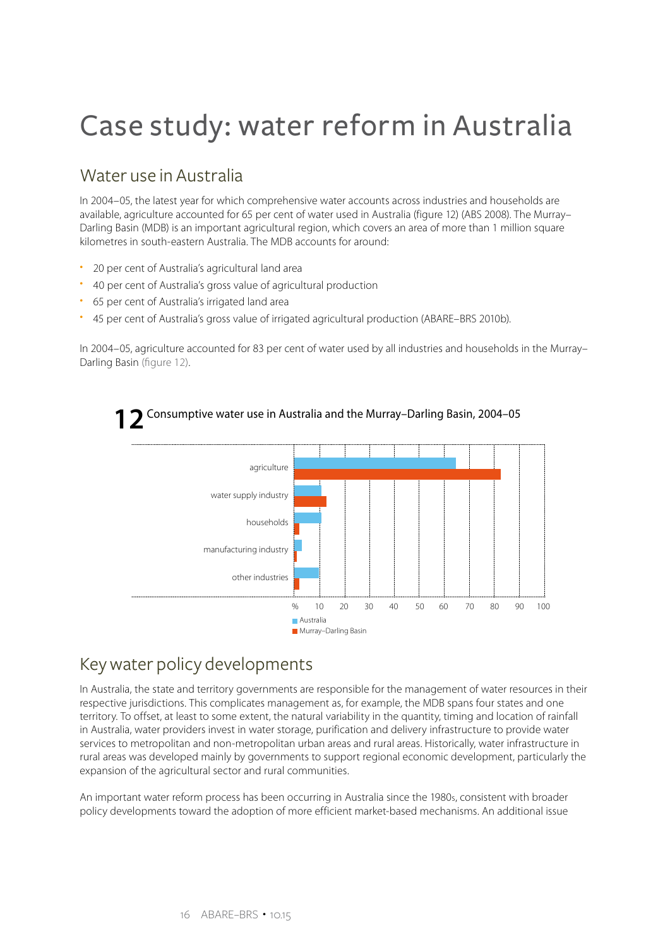## Case study: water reform in Australia

### Water use in Australia

In 2004–05, the latest year for which comprehensive water accounts across industries and households are available, agriculture accounted for 65 per cent of water used in Australia (figure 12) (ABS 2008). The Murray– Darling Basin (MDB) is an important agricultural region, which covers an area of more than 1 million square kilometres in south-eastern Australia. The MDB accounts for around:

- 20 per cent of Australia's agricultural land area
- 40 per cent of Australia's gross value of agricultural production
- 65 per cent of Australia's irrigated land area
- 45 per cent of Australia's gross value of irrigated agricultural production (ABARE–BRS 2010b).

In 2004–05, agriculture accounted for 83 per cent of water used by all industries and households in the Murray– Darling Basin (figure 12).

Consumptive water use in Australia and the Murray–Darling Basin, 2004–05 **12**



## Key water policy developments

In Australia, the state and territory governments are responsible for the management of water resources in their respective jurisdictions. This complicates management as, for example, the MDB spans four states and one territory. To offset, at least to some extent, the natural variability in the quantity, timing and location of rainfall in Australia, water providers invest in water storage, purification and delivery infrastructure to provide water services to metropolitan and non-metropolitan urban areas and rural areas. Historically, water infrastructure in rural areas was developed mainly by governments to support regional economic development, particularly the expansion of the agricultural sector and rural communities.

An important water reform process has been occurring in Australia since the 1980s, consistent with broader policy developments toward the adoption of more efficient market-based mechanisms. An additional issue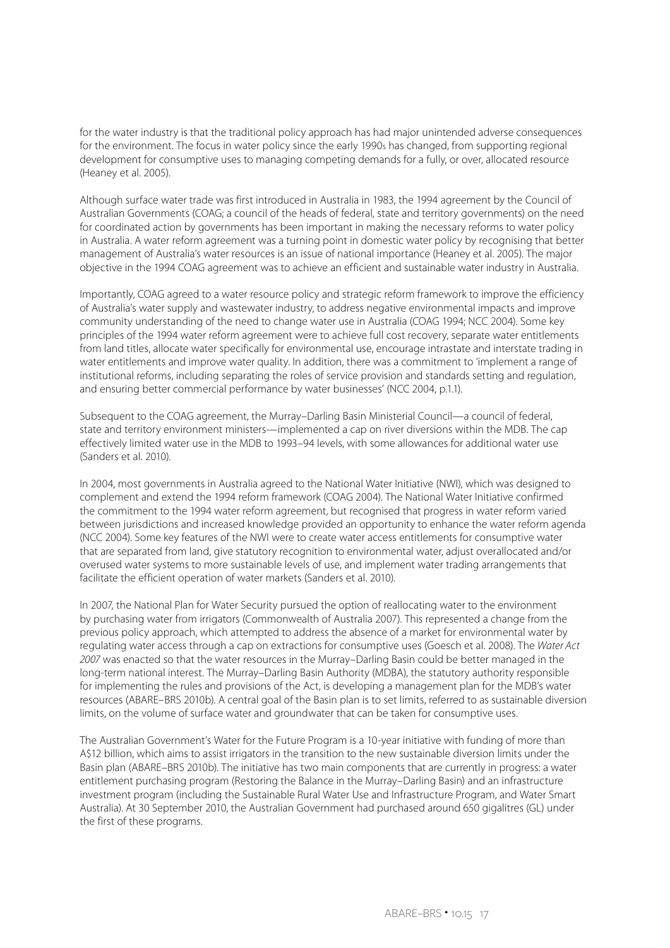for the water industry is that the traditional policy approach has had major unintended adverse consequences for the environment. The focus in water policy since the early 1990s has changed, from supporting regional development for consumptive uses to managing competing demands for a fully, or over, allocated resource (Heaney et al. 2005).

Although surface water trade was first introduced in Australia in 1983, the 1994 agreement by the Council of Australian Governments (COAG; a council of the heads of federal, state and territory governments) on the need for coordinated action by governments has been important in making the necessary reforms to water policy in Australia. A water reform agreement was a turning point in domestic water policy by recognising that better management of Australia's water resources is an issue of national importance (Heaney et al. 2005). The major objective in the 1994 COAG agreement was to achieve an efficient and sustainable water industry in Australia.

Importantly, COAG agreed to a water resource policy and strategic reform framework to improve the efficiency of Australia's water supply and wastewater industry, to address negative environmental impacts and improve community understanding of the need to change water use in Australia (COAG 1994; NCC 2004). Some key principles of the 1994 water reform agreement were to achieve full cost recovery, separate water entitlements from land titles, allocate water specifically for environmental use, encourage intrastate and interstate trading in water entitlements and improve water quality. In addition, there was a commitment to 'implement a range of institutional reforms, including separating the roles of service provision and standards setting and regulation, and ensuring better commercial performance by water businesses' (NCC 2004, p.1.1).

Subsequent to the COAG agreement, the Murray–Darling Basin Ministerial Council—a council of federal, state and territory environment ministers—implemented a cap on river diversions within the MDB. The cap effectively limited water use in the MDB to 1993–94 levels, with some allowances for additional water use (Sanders et al. 2010).

In 2004, most governments in Australia agreed to the National Water Initiative (NWI), which was designed to complement and extend the 1994 reform framework (COAG 2004). The National Water Initiative confirmed the commitment to the 1994 water reform agreement, but recognised that progress in water reform varied between jurisdictions and increased knowledge provided an opportunity to enhance the water reform agenda (NCC 2004). Some key features of the NWI were to create water access entitlements for consumptive water that are separated from land, give statutory recognition to environmental water, adjust overallocated and/or overused water systems to more sustainable levels of use, and implement water trading arrangements that facilitate the efficient operation of water markets (Sanders et al. 2010).

In 2007, the National Plan for Water Security pursued the option of reallocating water to the environment by purchasing water from irrigators (Commonwealth of Australia 2007). This represented a change from the previous policy approach, which attempted to address the absence of a market for environmental water by regulating water access through a cap on extractions for consumptive uses (Goesch et al. 2008). The *Water Act 2007* was enacted so that the water resources in the Murray–Darling Basin could be better managed in the long-term national interest. The Murray–Darling Basin Authority (MDBA), the statutory authority responsible for implementing the rules and provisions of the Act, is developing a management plan for the MDB's water resources (ABARE–BRS 2010b). A central goal of the Basin plan is to set limits, referred to as sustainable diversion limits, on the volume of surface water and groundwater that can be taken for consumptive uses.

The Australian Government's Water for the Future Program is a 10-year initiative with funding of more than A\$12 billion, which aims to assist irrigators in the transition to the new sustainable diversion limits under the Basin plan (ABARE–BRS 2010b). The initiative has two main components that are currently in progress: a water entitlement purchasing program (Restoring the Balance in the Murray–Darling Basin) and an infrastructure investment program (including the Sustainable Rural Water Use and Infrastructure Program, and Water Smart Australia). At 30 September 2010, the Australian Government had purchased around 650 gigalitres (GL) under the first of these programs.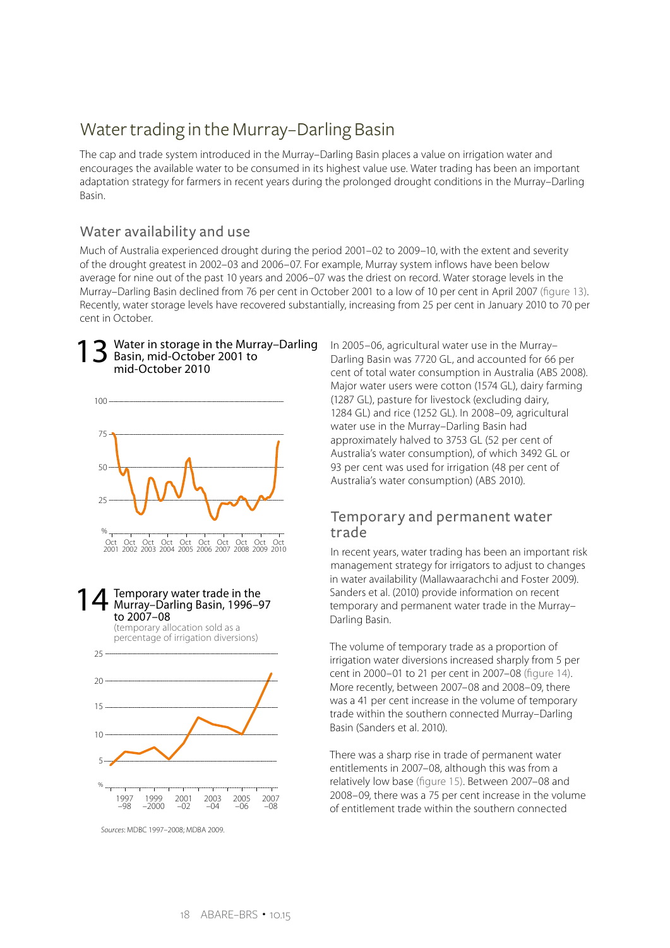## Water trading in the Murray–Darling Basin

The cap and trade system introduced in the Murray–Darling Basin places a value on irrigation water and encourages the available water to be consumed in its highest value use. Water trading has been an important adaptation strategy for farmers in recent years during the prolonged drought conditions in the Murray–Darling Basin.

### Water availability and use

Much of Australia experienced drought during the period 2001–02 to 2009–10, with the extent and severity of the drought greatest in 2002–03 and 2006–07. For example, Murray system inflows have been below average for nine out of the past 10 years and 2006–07 was the driest on record. Water storage levels in the Murray–Darling Basin declined from 76 per cent in October 2001 to a low of 10 per cent in April 2007 (figure 13). Recently, water storage levels have recovered substantially, increasing from 25 per cent in January 2010 to 70 per cent in October.

#### Water in storage in the Murray–Darling Basin, mid-October 2001 to mid-October 2010 13







*Sources*: MDBC 1997–2008; MDBA 2009.

In 2005–06, agricultural water use in the Murray– Darling Basin was 7720 GL, and accounted for 66 per cent of total water consumption in Australia (ABS 2008). Major water users were cotton (1574 GL), dairy farming (1287 GL), pasture for livestock (excluding dairy, 1284 GL) and rice (1252 GL). In 2008–09, agricultural water use in the Murray–Darling Basin had approximately halved to 3753 GL (52 per cent of Australia's water consumption), of which 3492 GL or 93 per cent was used for irrigation (48 per cent of Australia's water consumption) (ABS 2010).

#### Temporary and permanent water trade

In recent years, water trading has been an important risk management strategy for irrigators to adjust to changes in water availability (Mallawaarachchi and Foster 2009). Sanders et al. (2010) provide information on recent temporary and permanent water trade in the Murray– Darling Basin.

The volume of temporary trade as a proportion of irrigation water diversions increased sharply from 5 per cent in 2000–01 to 21 per cent in 2007–08 (figure 14). More recently, between 2007–08 and 2008–09, there was a 41 per cent increase in the volume of temporary trade within the southern connected Murray–Darling Basin (Sanders et al. 2010).

There was a sharp rise in trade of permanent water entitlements in 2007–08, although this was from a relatively low base (figure 15). Between 2007–08 and 2008–09, there was a 75 per cent increase in the volume of entitlement trade within the southern connected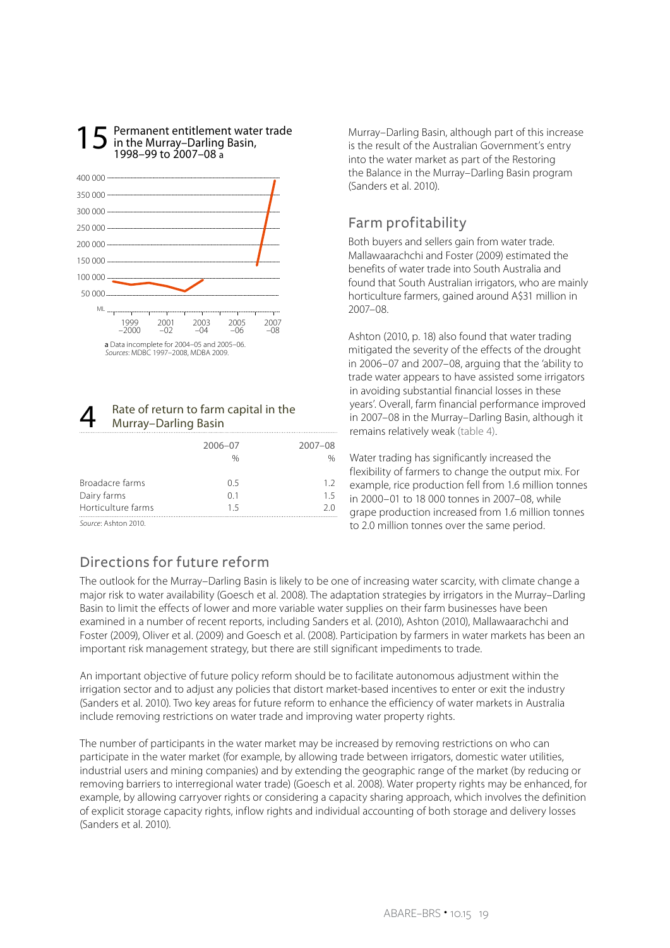

Permanent entitlement water trade

#### Rate of return to farm capital in the Murray–Darling Basin

|                    | 2006-07 | $2007 - 08$ |
|--------------------|---------|-------------|
|                    | %       |             |
|                    |         |             |
| Broadacre farms    | O 5     | 12          |
| Dairy farms        | 01      | 15          |
| Horticulture farms | 15      | 20          |
| Course Ashton 2010 |         |             |

*Source*: Ashton 2010.

### Directions for future reform

The outlook for the Murray–Darling Basin is likely to be one of increasing water scarcity, with climate change a major risk to water availability (Goesch et al. 2008). The adaptation strategies by irrigators in the Murray–Darling Basin to limit the effects of lower and more variable water supplies on their farm businesses have been examined in a number of recent reports, including Sanders et al. (2010), Ashton (2010), Mallawaarachchi and Foster (2009), Oliver et al. (2009) and Goesch et al. (2008). Participation by farmers in water markets has been an important risk management strategy, but there are still significant impediments to trade.

An important objective of future policy reform should be to facilitate autonomous adjustment within the irrigation sector and to adjust any policies that distort market-based incentives to enter or exit the industry (Sanders et al. 2010). Two key areas for future reform to enhance the efficiency of water markets in Australia include removing restrictions on water trade and improving water property rights.

The number of participants in the water market may be increased by removing restrictions on who can participate in the water market (for example, by allowing trade between irrigators, domestic water utilities, industrial users and mining companies) and by extending the geographic range of the market (by reducing or removing barriers to interregional water trade) (Goesch et al. 2008). Water property rights may be enhanced, for example, by allowing carryover rights or considering a capacity sharing approach, which involves the definition of explicit storage capacity rights, inflow rights and individual accounting of both storage and delivery losses (Sanders et al. 2010).

Murray–Darling Basin, although part of this increase is the result of the Australian Government's entry into the water market as part of the Restoring the Balance in the Murray–Darling Basin program (Sanders et al. 2010).

### Farm profitability

Both buyers and sellers gain from water trade. Mallawaarachchi and Foster (2009) estimated the benefits of water trade into South Australia and found that South Australian irrigators, who are mainly horticulture farmers, gained around A\$31 million in 2007–08.

Ashton (2010, p. 18) also found that water trading mitigated the severity of the effects of the drought in 2006–07 and 2007–08, arguing that the 'ability to trade water appears to have assisted some irrigators in avoiding substantial financial losses in these years'. Overall, farm financial performance improved in 2007–08 in the Murray–Darling Basin, although it remains relatively weak (table 4).

Water trading has significantly increased the flexibility of farmers to change the output mix. For example, rice production fell from 1.6 million tonnes in 2000–01 to 18 000 tonnes in 2007–08, while grape production increased from 1.6 million tonnes to 2.0 million tonnes over the same period.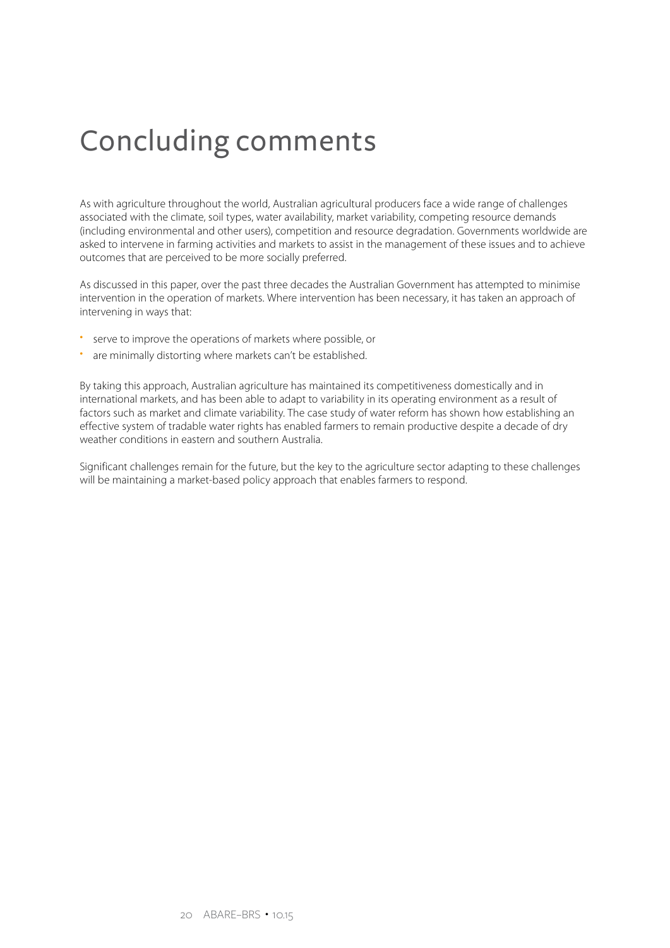## Concluding comments

As with agriculture throughout the world, Australian agricultural producers face a wide range of challenges associated with the climate, soil types, water availability, market variability, competing resource demands (including environmental and other users), competition and resource degradation. Governments worldwide are asked to intervene in farming activities and markets to assist in the management of these issues and to achieve outcomes that are perceived to be more socially preferred.

As discussed in this paper, over the past three decades the Australian Government has attempted to minimise intervention in the operation of markets. Where intervention has been necessary, it has taken an approach of intervening in ways that:

- • serve to improve the operations of markets where possible, or
- are minimally distorting where markets can't be established.

By taking this approach, Australian agriculture has maintained its competitiveness domestically and in international markets, and has been able to adapt to variability in its operating environment as a result of factors such as market and climate variability. The case study of water reform has shown how establishing an effective system of tradable water rights has enabled farmers to remain productive despite a decade of dry weather conditions in eastern and southern Australia.

Significant challenges remain for the future, but the key to the agriculture sector adapting to these challenges will be maintaining a market-based policy approach that enables farmers to respond.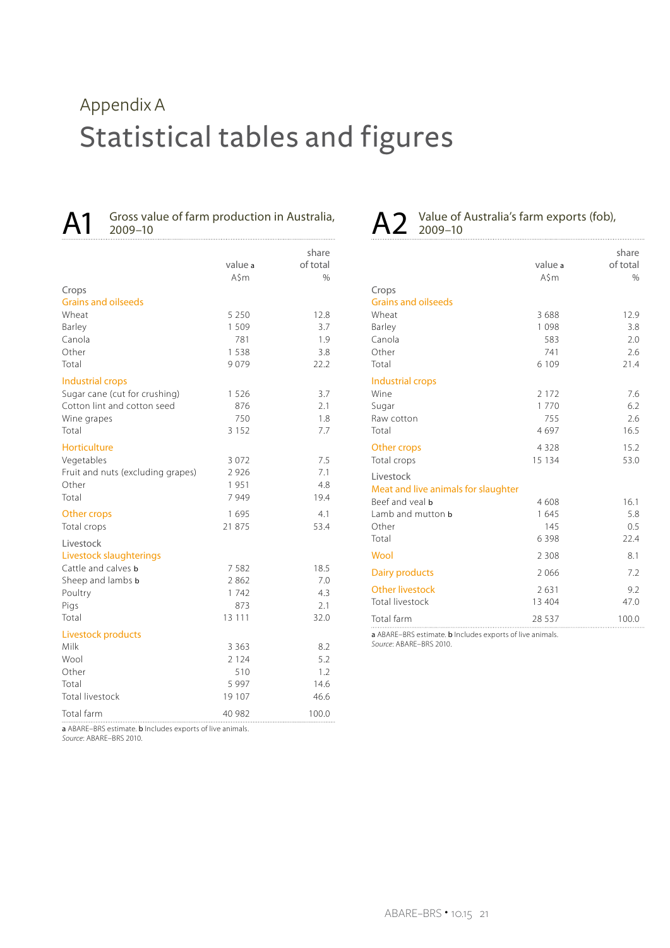## Statistical tables and figures Appendix A

Gross value of farm production in Australia, 2009–10

|                                                   |               | share       |
|---------------------------------------------------|---------------|-------------|
|                                                   | value a       | of total    |
|                                                   | $A\sin$       | $\%$        |
| Crops                                             |               |             |
| <b>Grains and oilseeds</b>                        |               |             |
| Wheat                                             | 5 2 5 0       | 12.8        |
| Barley                                            | 1 509         | 3.7         |
| Canola                                            | 781           | 1.9         |
| Other                                             | 1 5 3 8       | 3.8         |
| Total                                             | 9079          | 22.2        |
| Industrial crops                                  |               |             |
| Sugar cane (cut for crushing)                     | 1 5 2 6       | 3.7         |
| Cotton lint and cotton seed                       | 876           | 2.1         |
| Wine grapes                                       | 750           | 1.8         |
| Total                                             | 3 1 5 2       | 7.7         |
| Horticulture                                      |               |             |
| Vegetables                                        | 3 0 7 2       | 7.5         |
| Fruit and nuts (excluding grapes)                 | 2 9 2 6       | 7.1         |
| Other                                             | 1951          | 4.8         |
| Total                                             | 7949          | 19.4        |
|                                                   | 1 6 9 5       | 4.1         |
| Other crops<br>Total crops                        | 21 875        | 53.4        |
|                                                   |               |             |
| Livestock                                         |               |             |
| Livestock slaughterings                           |               |             |
| Cattle and calves <b>b</b>                        | 7582          | 18.5        |
| Sheep and lambs b                                 | 2862          | 7.0         |
| Poultry                                           | 1742          | 4.3         |
| Pigs<br>Total                                     | 873<br>13 111 | 2.1<br>32.0 |
|                                                   |               |             |
| Livestock products                                |               |             |
| Milk                                              | 3 3 6 3       | 8.2         |
| Wool                                              | 2 1 2 4       | 5.2         |
| Other                                             | 510           | 1.2         |
| Total                                             | 5 9 9 7       | 14.6        |
| <b>Total livestock</b>                            | 19 107        | 46.6        |
| Total farm<br>are a company to the control of the | 40 982        | 100.0       |

a ABARE–BRS estimate. b Includes exports of live animals. *Source*: ABARE–BRS 2010.

## A2 Value of Australia's farm exports (fob), <br>
2009-10

|                                     | value a<br>A\$m | share<br>of total<br>% |
|-------------------------------------|-----------------|------------------------|
| Crops                               |                 |                        |
| <b>Grains and oilseeds</b>          |                 |                        |
| Wheat                               | 3688            | 12.9                   |
| Barley<br>Canola                    | 1098            | 3.8                    |
| Other                               | 583             | 2.0                    |
| Total                               | 741<br>6 1 0 9  | 2.6<br>21.4            |
|                                     |                 |                        |
| Industrial crops                    |                 |                        |
| Wine                                | 2 1 7 2         | 7.6                    |
| Sugar                               | 1770            | 6.2                    |
| Raw cotton                          | 755             | 2.6                    |
| Total                               | 4697            | 16.5                   |
| Other crops                         | 4 3 2 8         | 15.2                   |
| Total crops                         | 15 134          | 53.0                   |
| Livestock                           |                 |                        |
| Meat and live animals for slaughter |                 |                        |
| Beef and yeal <b>b</b>              | 4608            | 16.1                   |
| Lamb and mutton <b>b</b>            | 1645            | 5.8                    |
| Other                               | 145             | 0.5                    |
| Total                               | 6398            | 22.4                   |
| Wool                                | 2 3 0 8         | 8.1                    |
| Dairy products                      | 2066            | 7.2                    |
| <b>Other livestock</b>              | 2631            | 9.2                    |
| <b>Total livestock</b>              | 13 404          | 47.0                   |
| Total farm                          | 28 5 3 7        | 100.0                  |

a ABARE–BRS estimate. b Includes exports of live animals. *Source*: ABARE–BRS 2010.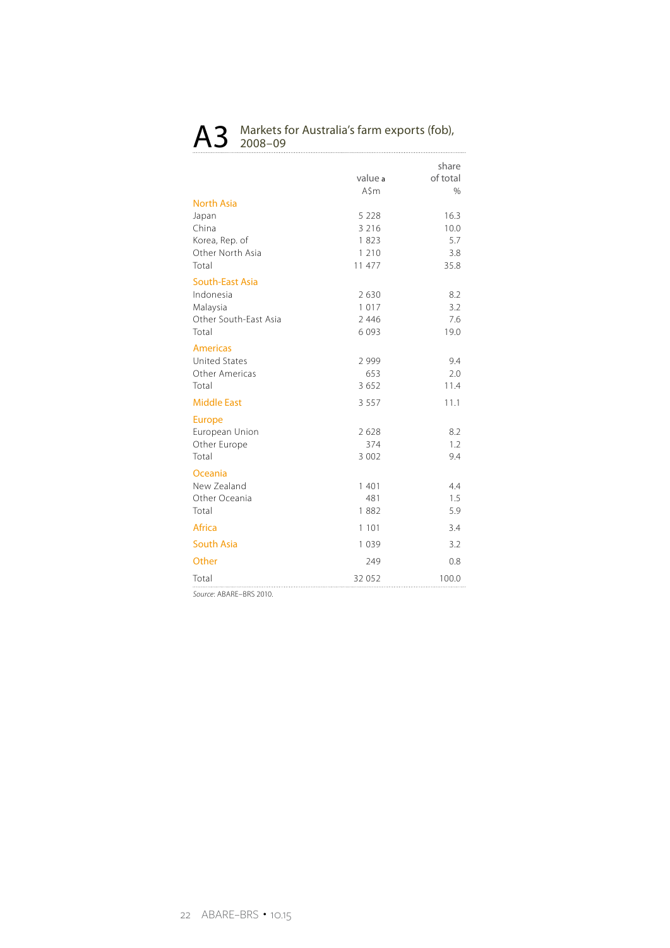## A3 Markets for Australia's farm exports (fob),

|                        | value a<br>$A\sin$ | share<br>of total<br>$\%$ |
|------------------------|--------------------|---------------------------|
| <b>North Asia</b>      |                    |                           |
| Japan                  | 5 2 2 8            | 16.3                      |
| China                  | 3 2 1 6            | 10.0                      |
| Korea, Rep. of         | 1823               | 5.7                       |
| Other North Asia       | 1 2 1 0            | 3.8                       |
| Total                  | 11 477             | 35.8                      |
| <b>South-East Asia</b> |                    |                           |
| Indonesia              | 2630               | 8.2                       |
| Malaysia               | 1017               | 3.2                       |
| Other South-East Asia  | 2 4 4 6            | 7.6                       |
| Total                  | 6093               | 19.0                      |
| <b>Americas</b>        |                    |                           |
| <b>United States</b>   | 2999               | 9.4                       |
| Other Americas         | 653                | 2.0                       |
| Total                  | 3652               | 11.4                      |
| <b>Middle East</b>     | 3 5 5 7            | 11.1                      |
| <b>Europe</b>          |                    |                           |
| European Union         | 2628               | 8.2                       |
| Other Europe           | 374                | 1.2                       |
| Total                  | 3 0 0 2            | 9.4                       |
| Oceania                |                    |                           |
| New Zealand            | 1 401              | 4.4                       |
| Other Oceania          | 481                | 1.5                       |
| Total                  | 1882               | 5.9                       |
| Africa                 | 1 1 0 1            | 3.4                       |
| <b>South Asia</b>      | 1039               | 3.2                       |
| Other                  | 249                | 0.8                       |
| Total                  | 32 052             | 100.0                     |

*Source*: ABARE–BRS 2010.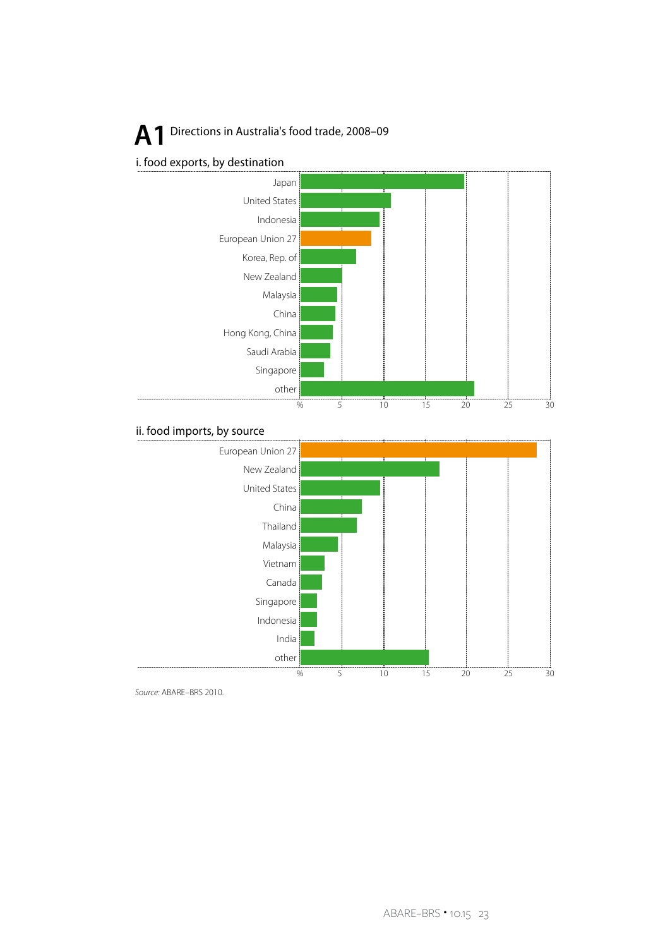## **A** 1 Directions in Australia's food trade, 2008-09



#### ii. food imports, by source



*Source:* ABARE–BRS 2010.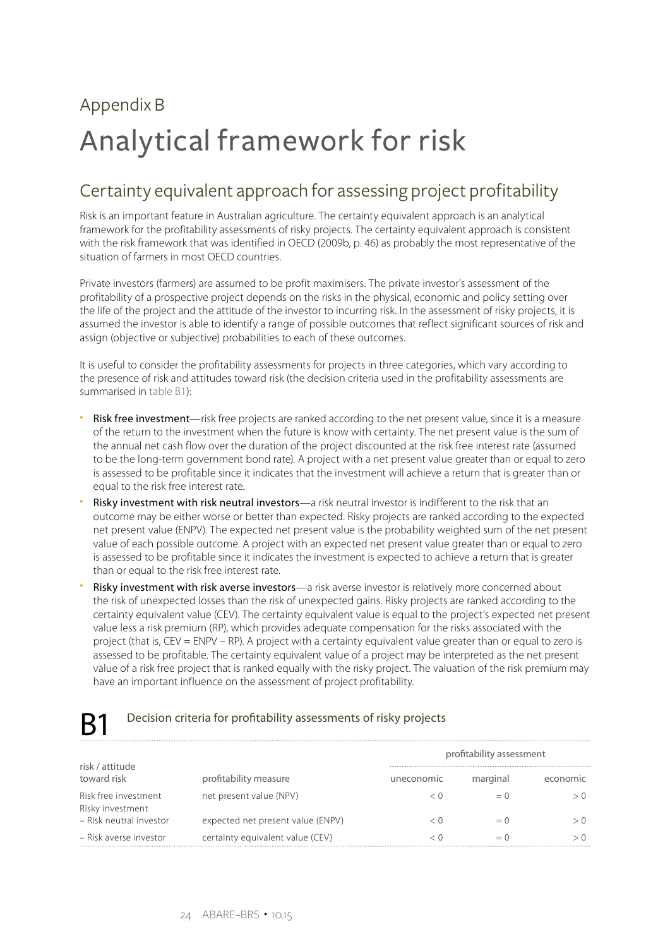## Analytical framework for risk Appendix B

## Certainty equivalent approach for assessing project profitability

Risk is an important feature in Australian agriculture. The certainty equivalent approach is an analytical framework for the profitability assessments of risky projects. The certainty equivalent approach is consistent with the risk framework that was identified in OECD (2009b, p. 46) as probably the most representative of the situation of farmers in most OECD countries.

Private investors (farmers) are assumed to be profit maximisers. The private investor's assessment of the profitability of a prospective project depends on the risks in the physical, economic and policy setting over the life of the project and the attitude of the investor to incurring risk. In the assessment of risky projects, it is assumed the investor is able to identify a range of possible outcomes that reflect significant sources of risk and assign (objective or subjective) probabilities to each of these outcomes.

It is useful to consider the profitability assessments for projects in three categories, which vary according to the presence of risk and attitudes toward risk (the decision criteria used in the profitability assessments are summarised in table B1):

- Risk free investment—risk free projects are ranked according to the net present value, since it is a measure of the return to the investment when the future is know with certainty. The net present value is the sum of the annual net cash flow over the duration of the project discounted at the risk free interest rate (assumed to be the long-term government bond rate). A project with a net present value greater than or equal to zero is assessed to be profitable since it indicates that the investment will achieve a return that is greater than or equal to the risk free interest rate.
- Risky investment with risk neutral investors—a risk neutral investor is indifferent to the risk that an outcome may be either worse or better than expected. Risky projects are ranked according to the expected net present value (ENPV). The expected net present value is the probability weighted sum of the net present value of each possible outcome. A project with an expected net present value greater than or equal to zero is assessed to be profitable since it indicates the investment is expected to achieve a return that is greater than or equal to the risk free interest rate.
- Risky investment with risk averse investors—a risk averse investor is relatively more concerned about the risk of unexpected losses than the risk of unexpected gains. Risky projects are ranked according to the certainty equivalent value (CEV). The certainty equivalent value is equal to the project's expected net present value less a risk premium (RP), which provides adequate compensation for the risks associated with the project (that is, CEV = ENPV – RP). A project with a certainty equivalent value greater than or equal to zero is assessed to be profitable. The certainty equivalent value of a project may be interpreted as the net present value of a risk free project that is ranked equally with the risky project. The valuation of the risk premium may have an important influence on the assessment of project profitability.

### R1 Decision criteria for profitability assessments of risky projects

|                                          |                                   | profitability assessment |          |          |
|------------------------------------------|-----------------------------------|--------------------------|----------|----------|
| risk / attitude<br>toward risk           | profitability measure             | uneconomic               | marginal | economic |
| Risk free investment<br>Risky investment | net present value (NPV)           |                          |          |          |
| - Risk neutral investor                  | expected net present value (ENPV) |                          | $= 0$    |          |
| – Risk averse investor                   | certainty equivalent value (CEV)  |                          | = 1      |          |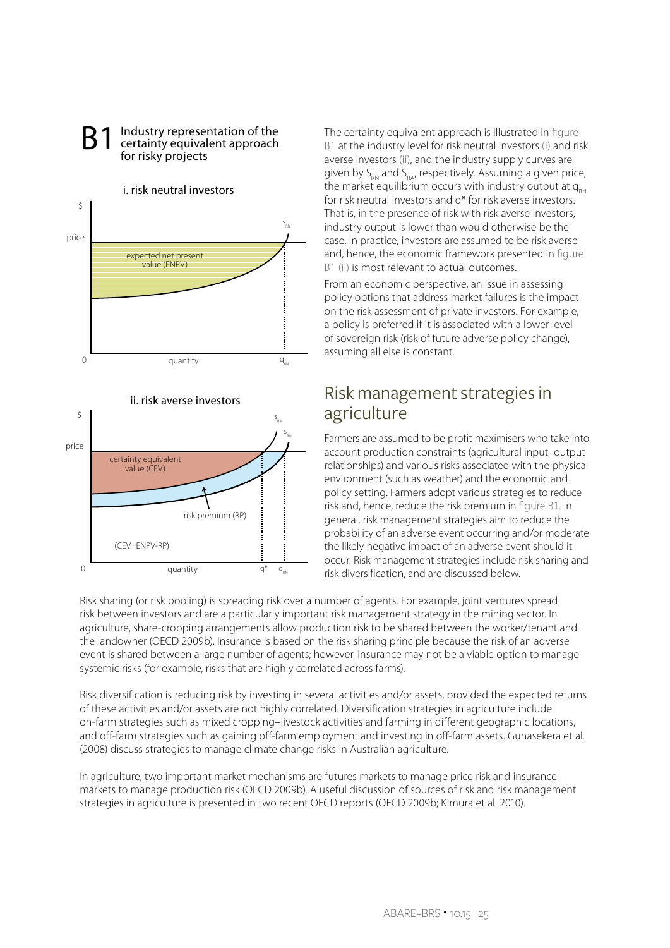

quantity  $q^*$   $q$ 

(CEV=ENPV-RP)

 $\Omega$ 

Industry representation of the certainty equivalent approach for risky projects B1

The certainty equivalent approach is illustrated in figure B1 at the industry level for risk neutral investors (i) and risk averse investors (ii), and the industry supply curves are given by  $S_{\text{RM}}$  and  $S_{\text{RA}}$ , respectively. Assuming a given price, the market equilibrium occurs with industry output at  $q_{\text{RN}}$ for risk neutral investors and q\* for risk averse investors. That is, in the presence of risk with risk averse investors, industry output is lower than would otherwise be the case. In practice, investors are assumed to be risk averse and, hence, the economic framework presented in figure B1 (ii) is most relevant to actual outcomes.

From an economic perspective, an issue in assessing policy options that address market failures is the impact on the risk assessment of private investors. For example, a policy is preferred if it is associated with a lower level of sovereign risk (risk of future adverse policy change), assuming all else is constant.

### Risk management strategies in agriculture

Farmers are assumed to be profit maximisers who take into account production constraints (agricultural input–output relationships) and various risks associated with the physical environment (such as weather) and the economic and policy setting. Farmers adopt various strategies to reduce risk and, hence, reduce the risk premium in figure B1. In general, risk management strategies aim to reduce the probability of an adverse event occurring and/or moderate the likely negative impact of an adverse event should it occur. Risk management strategies include risk sharing and risk diversification, and are discussed below.

Risk sharing (or risk pooling) is spreading risk over a number of agents. For example, joint ventures spread risk between investors and are a particularly important risk management strategy in the mining sector. In agriculture, share-cropping arrangements allow production risk to be shared between the worker/tenant and the landowner (OECD 2009b). Insurance is based on the risk sharing principle because the risk of an adverse event is shared between a large number of agents; however, insurance may not be a viable option to manage systemic risks (for example, risks that are highly correlated across farms).

Risk diversification is reducing risk by investing in several activities and/or assets, provided the expected returns of these activities and/or assets are not highly correlated. Diversification strategies in agriculture include on-farm strategies such as mixed cropping–livestock activities and farming in different geographic locations, and off-farm strategies such as gaining off-farm employment and investing in off-farm assets. Gunasekera et al. (2008) discuss strategies to manage climate change risks in Australian agriculture.

In agriculture, two important market mechanisms are futures markets to manage price risk and insurance markets to manage production risk (OECD 2009b). A useful discussion of sources of risk and risk management strategies in agriculture is presented in two recent OECD reports (OECD 2009b; Kimura et al. 2010).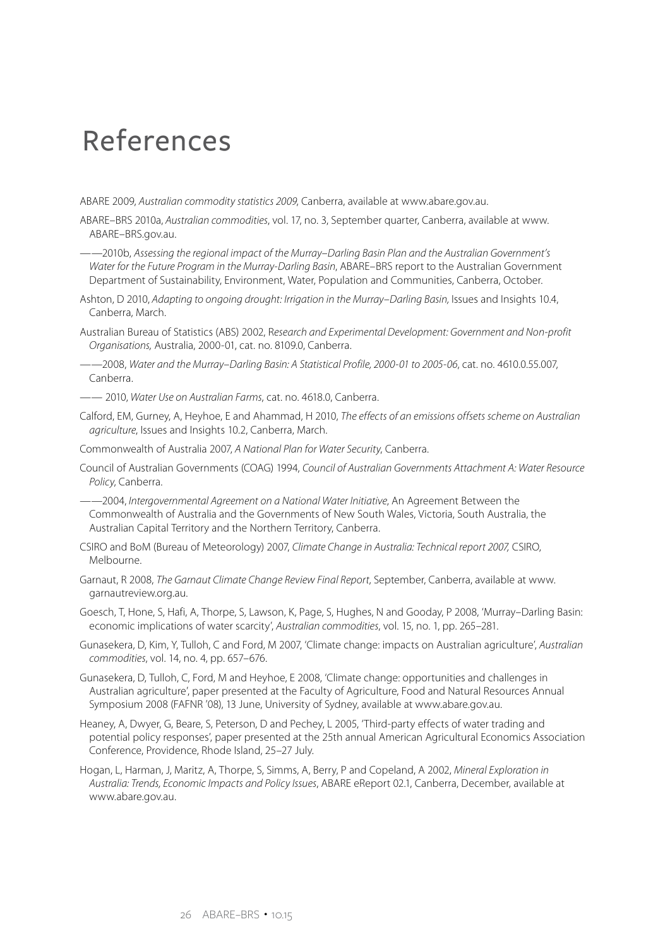## References

ABARE 2009, *Australian commodity statistics 2009*, Canberra, available at www.abare.gov.au.

- ABARE–BRS 2010a, *Australian commodities*, vol. 17, no. 3, September quarter, Canberra, available at www. ABARE–BRS.gov.au.
- ——2010b, *Assessing the regional impact of the Murray–Darling Basin Plan and the Australian Government's Water for the Future Program in the Murray-Darling Basin*, ABARE–BRS report to the Australian Government Department of Sustainability, Environment, Water, Population and Communities, Canberra, October.
- Ashton, D 2010, *Adapting to ongoing drought: Irrigation in the Murray–Darling Basin,* Issues and Insights 10.4, Canberra, March.
- Australian Bureau of Statistics (ABS) 2002, R*esearch and Experimental Development: Government and Non-profit Organisations,* Australia, 2000-01, cat. no. 8109.0, Canberra.

——2008, *Water and the Murray–Darling Basin: A Statistical Profile, 2000-01 to 2005-06*, cat. no. 4610.0.55.007, Canberra.

—— 2010, *Water Use on Australian Farms*, cat. no. 4618.0, Canberra.

Calford, EM, Gurney, A, Heyhoe, E and Ahammad, H 2010, *The effects of an emissions offsets scheme on Australian agriculture*, Issues and Insights 10.2, Canberra, March.

Commonwealth of Australia 2007, *A National Plan for Water Security*, Canberra.

Council of Australian Governments (COAG) 1994, *Council of Australian Governments Attachment A: Water Resource Policy*, Canberra.

——2004, *Intergovernmental Agreement on a National Water Initiative*, An Agreement Between the Commonwealth of Australia and the Governments of New South Wales, Victoria, South Australia, the Australian Capital Territory and the Northern Territory, Canberra.

- CSIRO and BoM (Bureau of Meteorology) 2007, *Climate Change in Australia: Technical report 2007,* CSIRO, Melbourne.
- Garnaut, R 2008, *The Garnaut Climate Change Review Final Report*, September, Canberra, available at www. garnautreview.org.au.

Goesch, T, Hone, S, Hafi, A, Thorpe, S, Lawson, K, Page, S, Hughes, N and Gooday, P 2008, 'Murray–Darling Basin: economic implications of water scarcity', *Australian commodities*, vol. 15, no. 1, pp. 265–281.

- Gunasekera, D, Kim, Y, Tulloh, C and Ford, M 2007, 'Climate change: impacts on Australian agriculture', *Australian commodities*, vol. 14, no. 4, pp. 657–676.
- Gunasekera, D, Tulloh, C, Ford, M and Heyhoe, E 2008, 'Climate change: opportunities and challenges in Australian agriculture', paper presented at the Faculty of Agriculture, Food and Natural Resources Annual Symposium 2008 (FAFNR '08), 13 June, University of Sydney, available at www.abare.gov.au.
- Heaney, A, Dwyer, G, Beare, S, Peterson, D and Pechey, L 2005, 'Third-party effects of water trading and potential policy responses', paper presented at the 25th annual American Agricultural Economics Association Conference, Providence, Rhode Island, 25–27 July.
- Hogan, L, Harman, J, Maritz, A, Thorpe, S, Simms, A, Berry, P and Copeland, A 2002, *Mineral Exploration in Australia: Trends, Economic Impacts and Policy Issues*, ABARE eReport 02.1, Canberra, December, available at www.abare.gov.au.